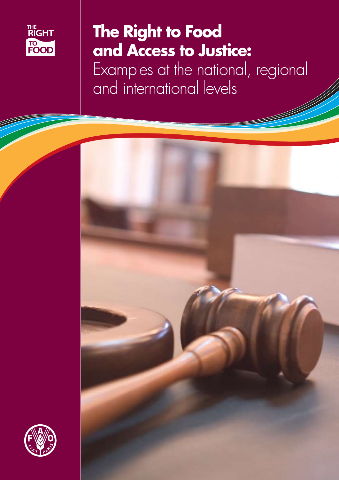

# The Right to Food and Access to Justice:

Examples at the national, regional<br>and international levels



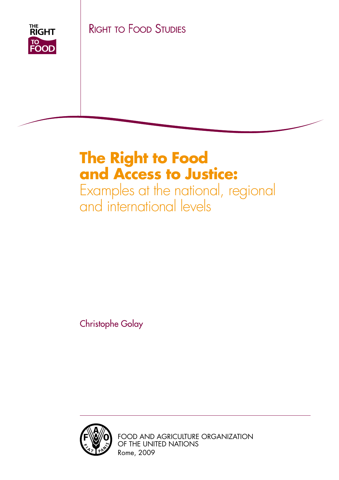THE<br>RIGHT **TO<br>FOOD** 

Right to Food Studies

## **The Right to Food and Access to Justice:**

Examples at the national, regional and international levels

Christophe Golay



Food and Agriculture Organization of the United Nations Rome, 2009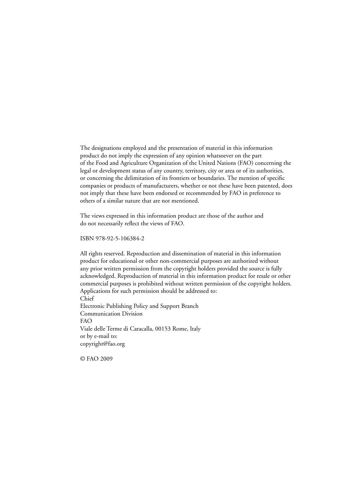The designations employed and the presentation of material in this information product do not imply the expression of any opinion whatsoever on the part of the Food and Agriculture Organization of the United Nations (FAO) concerning the legal or development status of any country, territory, city or area or of its authorities, or concerning the delimitation of its frontiers or boundaries. The mention of specific companies or products of manufacturers, whether or not these have been patented, does not imply that these have been endorsed or recommended by FAO in preference to others of a similar nature that are not mentioned.

The views expressed in this information product are those of the author and do not necessarily reflect the views of FAO.

ISBN 978-92-5-106384-2

All rights reserved. Reproduction and dissemination of material in this information product for educational or other non-commercial purposes are authorized without any prior written permission from the copyright holders provided the source is fully acknowledged. Reproduction of material in this information product for resale or other commercial purposes is prohibited without written permission of the copyright holders. Applications for such permission should be addressed to: Chief Electronic Publishing Policy and Support Branch Communication Division FAO Viale delle Terme di Caracalla, 00153 Rome, Italy or by e-mail to: copyright@fao.org

© FAO 2009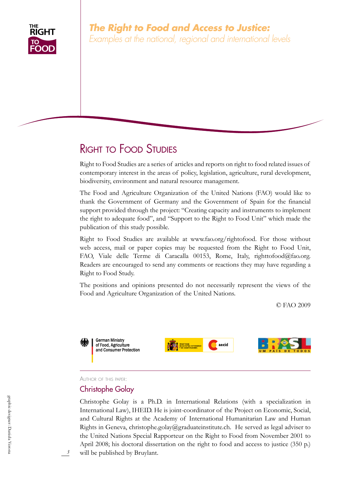

## Right to Food Studies

Right to Food Studies are a series of articles and reports on right to food related issues of contemporary interest in the areas of policy, legislation, agriculture, rural development, biodiversity, environment and natural resource management.

The Food and Agriculture Organization of the United Nations (FAO) would like to thank the Government of Germany and the Government of Spain for the financial support provided through the project: "Creating capacity and instruments to implement the right to adequate food", and "Support to the Right to Food Unit" which made the publication of this study possible.

Right to Food Studies are available at www.fao.org/rightofood. For those without web access, mail or paper copies may be requested from the Right to Food Unit, FAO, Viale delle Terme di Caracalla 00153, Rome, Italy, righttofood@fao.org. Readers are encouraged to send any comments or reactions they may have regarding a Right to Food Study.

The positions and opinions presented do not necessarily represent the views of the Food and Agriculture Organization of the United Nations.

© FAO 2009



#### Author of this paper:

#### Christophe Golay

Christophe Golay is a Ph.D. in International Relations (with a specialization in International Law), IHEID. He is joint-coordinator of the Project on Economic, Social, and Cultural Rights at the Academy of International Humanitarian Law and Human Rights in Geneva, christophe.golay@graduateinstitute.ch. He served as legal adviser to the United Nations Special Rapporteur on the Right to Food from November 2001 to April 2008; his doctoral dissertation on the right to food and access to justice (350 p.) will be published by Bruylant.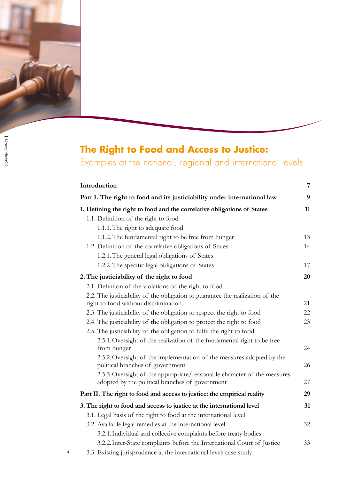

*4*

## **The Right to Food and Access to Justice:**

Examples at the national, regional and international levels

| Introduction                                                                                                                | 7  |
|-----------------------------------------------------------------------------------------------------------------------------|----|
| Part I. The right to food and its justiciability under international law                                                    | 9  |
| 1. Defining the right to food and the correlative obligations of States                                                     | 11 |
| 1.1. Definition of the right to food                                                                                        |    |
| 1.1.1. The right to adequate food                                                                                           |    |
| 1.1.2. The fundamental right to be free from hunger                                                                         | 13 |
| 1.2. Definition of the correlative obligations of States                                                                    | 14 |
| 1.2.1. The general legal obligations of States                                                                              |    |
| 1.2.2. The specific legal obligations of States                                                                             | 17 |
| 2. The justiciability of the right to food                                                                                  | 20 |
| 2.1. Definiton of the violations of the right to food                                                                       |    |
| 2.2. The justiciability of the obligation to guarantee the realization of the                                               |    |
| right to food without discrimination                                                                                        | 21 |
| 2.3. The justiciability of the obligation to respect the right to food                                                      | 22 |
| 2.4. The justiciability of the obligation to protect the right to food                                                      | 23 |
| 2.5. The justiciability of the obligation to fulfil the right to food                                                       |    |
| 2.5.1. Oversight of the realization of the fundamental right to be free                                                     |    |
| from hunger                                                                                                                 | 24 |
| 2.5.2. Oversight of the implementation of the measures adopted by the<br>political branches of government                   | 26 |
| 2.5.3. Oversight of the appropriate/reasonable character of the measures<br>adopted by the political branches of government | 27 |
| Part II. The right to food and access to justice: the empirical reality                                                     | 29 |
| 3. The right to food and access to justice at the international level                                                       | 31 |
| 3.1. Legal basis of the right to food at the international level                                                            |    |
| 3.2. Available legal remedies at the international level                                                                    | 32 |
| 3.2.1. Individual and collective complaints before treaty bodies                                                            |    |
| 3.2.2. Inter-State complaints before the International Court of Justice                                                     | 33 |
| 3.3. Existing jurisprudence at the international level: case study                                                          |    |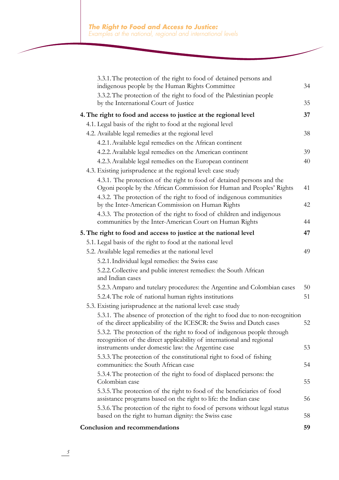| 3.3.1. The protection of the right to food of detained persons and<br>indigenous people by the Human Rights Committee                                                                                                  | 34 |
|------------------------------------------------------------------------------------------------------------------------------------------------------------------------------------------------------------------------|----|
| 3.3.2. The protection of the right to food of the Palestinian people                                                                                                                                                   |    |
| by the International Court of Justice                                                                                                                                                                                  | 35 |
| 4. The right to food and access to justice at the regional level                                                                                                                                                       | 37 |
| 4.1. Legal basis of the right to food at the regional level                                                                                                                                                            |    |
| 4.2. Available legal remedies at the regional level                                                                                                                                                                    | 38 |
| 4.2.1. Available legal remedies on the African continent                                                                                                                                                               |    |
| 4.2.2. Available legal remedies on the American continent                                                                                                                                                              | 39 |
| 4.2.3. Available legal remedies on the European continent                                                                                                                                                              | 40 |
| 4.3. Existing jurisprudence at the regional level: case study                                                                                                                                                          |    |
| 4.3.1. The protection of the right to food of detained persons and the<br>Ogoni people by the African Commission for Human and Peoples' Rights<br>4.3.2. The protection of the right to food of indigenous communities | 41 |
| by the Inter-American Commission on Human Rights                                                                                                                                                                       | 42 |
| 4.3.3. The protection of the right to food of children and indigenous<br>communities by the Inter-American Court on Human Rights                                                                                       | 44 |
|                                                                                                                                                                                                                        |    |
| 5. The right to food and access to justice at the national level                                                                                                                                                       | 47 |
| 5.1. Legal basis of the right to food at the national level                                                                                                                                                            |    |
| 5.2. Available legal remedies at the national level                                                                                                                                                                    | 49 |
| 5.2.1. Individual legal remedies: the Swiss case                                                                                                                                                                       |    |
| 5.2.2. Collective and public interest remedies: the South African<br>and Indian cases                                                                                                                                  |    |
| 5.2.3. Amparo and tutelary procedures: the Argentine and Colombian cases                                                                                                                                               | 50 |
| 5.2.4. The role of national human rights institutions                                                                                                                                                                  | 51 |
| 5.3. Existing jurisprudence at the national level: case study                                                                                                                                                          |    |
| 5.3.1. The absence of protection of the right to food due to non-recognition<br>of the direct applicability of the ICESCR: the Swiss and Dutch cases                                                                   | 52 |
| 5.3.2. The protection of the right to food of indigenous people through<br>recognition of the direct applicability of international and regional<br>instruments under domestic law: the Argentine case                 | 53 |
| 5.3.3. The protection of the constitutional right to food of fishing<br>communities: the South African case                                                                                                            | 54 |
| 5.3.4. The protection of the right to food of displaced persons: the<br>Colombian case                                                                                                                                 | 55 |
| 5.3.5. The protection of the right to food of the beneficiaries of food<br>assistance programs based on the right to life: the Indian case                                                                             | 56 |
| 5.3.6. The protection of the right to food of persons without legal status<br>based on the right to human dignity: the Swiss case                                                                                      | 58 |
| <b>Conclusion and recommendations</b>                                                                                                                                                                                  | 59 |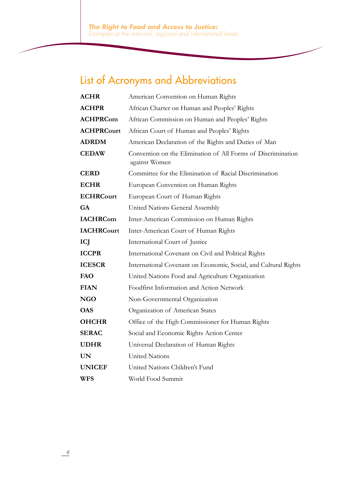## List of Acronyms and Abbreviations

| <b>ACHR</b>       | American Convention on Human Rights                                           |
|-------------------|-------------------------------------------------------------------------------|
| <b>ACHPR</b>      | African Charter on Human and Peoples' Rights                                  |
| <b>ACHPRCom</b>   | African Commission on Human and Peoples' Rights                               |
| <b>ACHPRCourt</b> | African Court of Human and Peoples' Rights                                    |
| <b>ADRDM</b>      | American Declaration of the Rights and Duties of Man                          |
| <b>CEDAW</b>      | Convention on the Elimination of All Forms of Discrimination<br>against Women |
| <b>CERD</b>       | Committee for the Elimination of Racial Discrimination                        |
| <b>ECHR</b>       | European Convention on Human Rights                                           |
| <b>ECHRCourt</b>  | European Court of Human Rights                                                |
| <b>GA</b>         | United Nations General Assembly                                               |
| <b>IACHRCom</b>   | Inter-American Commission on Human Rights                                     |
| <b>IACHRCourt</b> | Inter-American Court of Human Rights                                          |
| ICJ               | International Court of Justice                                                |
| <b>ICCPR</b>      | International Covenant on Civil and Political Rights                          |
| <b>ICESCR</b>     | International Covenant on Economic, Social, and Cultural Rights               |
| FAO               | United Nations Food and Agriculture Organization                              |
| <b>FIAN</b>       | Foodfirst Information and Action Network                                      |
| <b>NGO</b>        | Non-Governmental Organization                                                 |
| <b>OAS</b>        | Organization of American States                                               |
| <b>OHCHR</b>      | Office of the High Commissioner for Human Rights                              |
| <b>SERAC</b>      | Social and Economic Rights Action Center                                      |
| <b>UDHR</b>       | Universal Declaration of Human Rights                                         |
| <b>UN</b>         | <b>United Nations</b>                                                         |
| <b>UNICEF</b>     | United Nations Children's Fund                                                |
| <b>WFS</b>        | World Food Summit                                                             |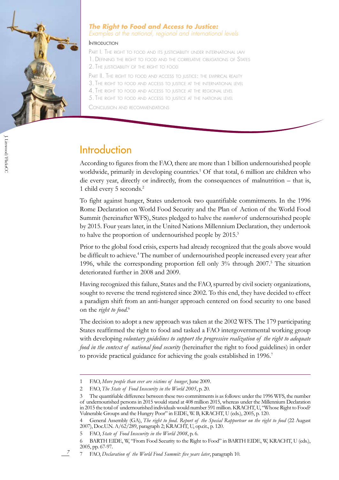

#### *The Right to Food and Access to Justice: Examples at the national, regional and international levels*

#### **INTRODUCTION**

PART I. THE RIGHT TO FOOD AND ITS JUSTICIABILITY UNDER INTERNATIONAL LAW 1. Defining the right to food and the correlative obligations of States 2. The justiciability of the right to food

PART II. THE RIGHT TO FOOD AND ACCESS TO JUSTICE: THE EMPIRICAL REALITY

- 3. The right to food and access to justice at the international level
- 4. The right to food and access to justice at the regional level
- 5. The right to food and access to justice at the national level

Conclusion and recommendations

### **Introduction**

According to figures from the FAO, there are more than 1 billion undernourished people worldwide, primarily in developing countries.<sup>1</sup> Of that total, 6 million are children who die every year, directly or indirectly, from the consequences of malnutrition – that is, 1 child every 5 seconds.2

To fight against hunger, States undertook two quantifiable commitments. In the 1996 Rome Declaration on World Food Security and the Plan of Action of the World Food Summit (hereinafter WFS), States pledged to halve the *number* of undernourished people by 2015. Four years later, in the United Nations Millennium Declaration, they undertook to halve the proportion of undernourished people by 2015.<sup>3</sup>

Prior to the global food crisis, experts had already recognized that the goals above would be difficult to achieve.<sup>4</sup> The number of undernourished people increased every year after 1996, while the corresponding proportion fell only 3% through 2007.<sup>5</sup> The situation deteriorated further in 2008 and 2009.

Having recognized this failure, States and the FAO, spurred by civil society organizations, sought to reverse the trend registered since 2002. To this end, they have decided to effect a paradigm shift from an anti-hunger approach centered on food security to one based on the *right to food*. 6

The decision to adopt a new approach was taken at the 2002 WFS. The 179 participating States reaffirmed the right to food and tasked a FAO intergovernmental working group with developing *voluntary guidelines to support the progressive realization of the right to adequate food in the context of national food security* (hereinafter the right to food guidelines) in order to provide practical guidance for achieving the goals established in 1996.<sup>7</sup>

<sup>1</sup> FAO, *More people than ever are victims of hunger*, June 2009.

<sup>2</sup> FAO, *The State of Food Insecurity in the World 2005*, p. 20.

The quantifiable difference between these two commitments is as follows: under the 1996 WFS, the number of undernourished persons in 2015 would stand at 408 million 2015, whereas under the Millennium Declaration in 2015 the total of undernourished individuals would number 591 million. KRACHT, U, "Whose Right to Food? Vulnerable Groups and the Hungry Poor" in EIDE, W. B, KRACHT, U (eds.), 2005, p. 120.

General Assembly (GA), *The right to food. Report of the Special Rapporteur on the right to food* (22 August 2007), Doc.U.N. A/62/289, paragraph 2; KRACHT, U, op.cit., p. 120.

<sup>5</sup> FAO, *State of Food Insecurity in the World 2008*, p. 6.

<sup>6</sup> BARTH EIDE, W, "From Food Security to the Right to Food" in BARTH EIDE, W, KRACHT, U (eds.), 2005, pp. 67-97.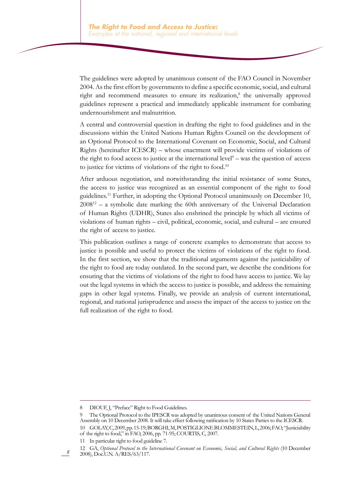The guidelines were adopted by unanimous consent of the FAO Council in November 2004. As the first effort by governments to define a specific economic, social, and cultural right and recommend measures to ensure its realization,<sup>8</sup> the universally approved guidelines represent a practical and immediately applicable instrument for combating undernourishment and malnutrition.

A central and controversial question in drafting the right to food guidelines and in the discussions within the United Nations Human Rights Council on the development of an Optional Protocol to the International Covenant on Economic, Social, and Cultural Rights (hereinafter ICESCR) – whose enactment will provide victims of violations of the right to food access to justice at the international level $9$  – was the question of access to justice for victims of violations of the right to food.10

After arduous negotiation, and notwithstanding the initial resistance of some States, the access to justice was recognized as an essential component of the right to food guidelines.11 Further, in adopting the Optional Protocol unanimously on December 10,  $2008^{12}$  – a symbolic date marking the 60th anniversary of the Universal Declaration of Human Rights (UDHR), States also enshrined the principle by which all victims of violations of human rights – civil, political, economic, social, and cultural – are ensured the right of access to justice.

This publication outlines a range of concrete examples to demonstrate that access to justice is possible and useful to protect the victims of violations of the right to food. In the first section, we show that the traditional arguments against the justiciability of the right to food are today outdated. In the second part, we describe the conditions for ensuring that the victims of violations of the right to food have access to justice. We lay out the legal systems in which the access to justice is possible, and address the remaining gaps in other legal systems. Finally, we provide an analysis of current international, regional, and national jurisprudence and assess the impact of the access to justice on the full realization of the right to food.

DIOUF, J, "Preface" Right to Food Guidelines.

<sup>9</sup> The Optional Protocol to the IPESCR was adopted by unanimous consent of the United Nations General Assembly on 10 December 2008. It will take effect following ratification by 10 States Parties to the ICESCR. 10 GOLAY, C, 2009, pp. 15-19; BORGHI, M, POSTIGLIONE BLOMMESTEIN, L, 2006; FAO, "Justiciability of the right to food," in FAO, 2006, pp. 71-95; COURTIS, C, 2007.

<sup>11</sup> In particular right to food guideline 7.

<sup>12</sup> GA, *Optional Protocol to the International Covenant on Economic, Social, and Cultural Rights* (10 December 2008), Doc.U.N. A/RES/63/117.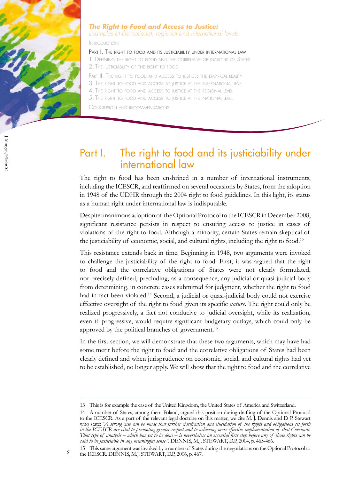

*9*

#### *The Right to Food and Access to Justice:*

*Examples at the national, regional and international levels*

Introduction

#### PART I. THE RIGHT TO FOOD AND ITS JUSTICIABILITY UNDER INTERNATIONAL LAW

1. Defining the right to food and the correlative obligations of States 2. The justiciability of the right to food

PART II. THE RIGHT TO FOOD AND ACCESS TO JUSTICE: THE EMPIRICAL REALITY

3. The right to food and access to justice at the international level

4. The right to food and access to justice at the regional level

5. The right to food and access to justice at the national level

Conclusion and recommendations

## Part I. The right to food and its justiciability under international law

The right to food has been enshrined in a number of international instruments, including the ICESCR, and reaffirmed on several occasions by States, from the adoption in 1948 of the UDHR through the 2004 right to food guidelines. In this light, its status as a human right under international law is indisputable.

Despite unanimous adoption of the Optional Protocol to the ICESCR in December 2008, significant resistance persists in respect to ensuring access to justice in cases of violations of the right to food. Although a minority, certain States remain skeptical of the justiciability of economic, social, and cultural rights, including the right to food.13

This resistance extends back in time. Beginning in 1948, two arguments were invoked to challenge the justiciability of the right to food. First, it was argued that the right to food and the correlative obligations of States were not clearly formulated, nor precisely defined, precluding, as a consequence, any judicial or quasi-judicial body from determining, in concrete cases submitted for judgment, whether the right to food had in fact been violated.<sup>14</sup> Second, a judicial or quasi-judicial body could not exercise effective oversight of the right to food given its specific *nature*. The right could only be realized progressively, a fact not conducive to judicial oversight, while its realization, even if progressive, would require significant budgetary outlays, which could only be approved by the political branches of government.<sup>15</sup>

In the first section, we will demonstrate that these two arguments, which may have had some merit before the right to food and the correlative obligations of States had been clearly defined and when jurisprudence on economic, social, and cultural rights had yet to be established, no longer apply. We will show that the right to food and the correlative

15 This same argument was invoked by a number of States during the negotiations on the Optional Protocol to the ICESCR. DENNIS, M.J, STEWART, D.P, 2006, p. 467.

<sup>13</sup> This is for example the case of the United Kingdom, the United States of America and Switzerland.

<sup>14</sup> A number of States, among them Poland, argued this position during drafting of the Optional Protocol to the ICESCR. As a part of the relevant legal doctrine on this matter, we cite M. J. Dennis and D. P. Stewart who state: *"A strong case can be made that further clarification and elucidation of the rights and obligations set forth in the ICESCR are vital to promoting greater respect and to achieving more effective implementation of that Covenant. That type of analysis – which has yet to be done – is nevertheless an essential first step before any of those rights can be said to be justiciable in any meaningful sense"*. DENNIS, M.J, STEWART, D.P, 2004, p. 465-466.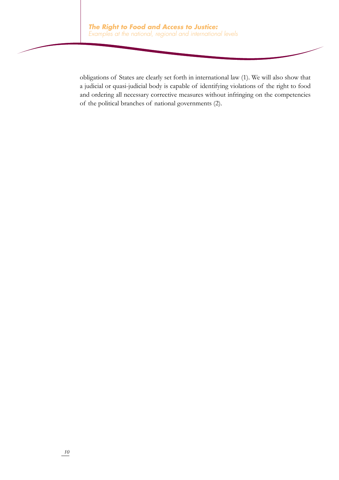obligations of States are clearly set forth in international law (1). We will also show that a judicial or quasi-judicial body is capable of identifying violations of the right to food and ordering all necessary corrective measures without infringing on the competencies of the political branches of national governments (2).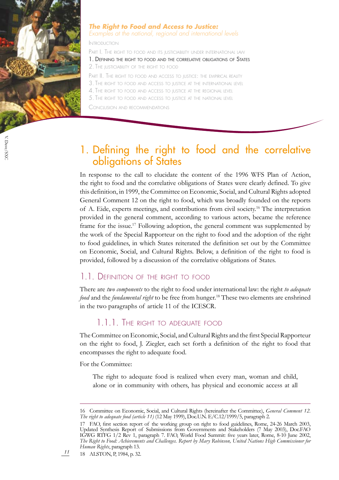

#### *The Right to Food and Access to Justice: Examples at the national, regional and international levels*

Introduction

PART I. THE RIGHT TO FOOD AND ITS JUSTICIABILITY UNDER INTERNATIONAL LAW

1. Defining the right to food and the correlative obligations of States 2. The justiciability of the right to food

PART II. THE RIGHT TO FOOD AND ACCESS TO JUSTICE: THE EMPIRICAL REALITY

3. The right to food and access to justice at the international level

4. The right to food and access to justice at the regional level

5. The right to food and access to justice at the national level

Conclusion and recommendations

## 1. Defining the right to food and the correlative obligations of States

In response to the call to elucidate the content of the 1996 WFS Plan of Action, the right to food and the correlative obligations of States were clearly defined. To give this definition, in 1999, the Committee on Economic, Social, and Cultural Rights adopted General Comment 12 on the right to food, which was broadly founded on the reports of A. Eide, experts meetings, and contributions from civil society.16 The interpretation provided in the general comment, according to various actors, became the reference frame for the issue.<sup>17</sup> Following adoption, the general comment was supplemented by the work of the Special Rapporteur on the right to food and the adoption of the right to food guidelines, in which States reiterated the definition set out by the Committee on Economic, Social, and Cultural Rights. Below, a definition of the right to food is provided, followed by a discussion of the correlative obligations of States.

#### 1.1. Definition of the right to food

There are *two components* to the right to food under international law: the right *to adequate food* and the *fundamental right* to be free from hunger.<sup>18</sup> These two elements are enshrined in the two paragraphs of article 11 of the ICESCR.

#### 1.1.1. The right to adequate food

The Committee on Economic, Social, and Cultural Rights and the first Special Rapporteur on the right to food, J. Ziegler, each set forth a definition of the right to food that encompasses the right to adequate food.

For the Committee:

The right to adequate food is realized when every man, woman and child, alone or in community with others, has physical and economic access at all

<sup>16</sup> Committee on Economic, Social, and Cultural Rights (hereinafter the Committee), *General Comment 12. The right to adequate food (article 11)* (12 May 1999), Doc.U.N. E/C.12/1999/5, paragraph 2.

<sup>17</sup> FAO, first section report of the working group on right to food guidelines, Rome, 24-26 March 2003, Updated Synthesis Report of Submissions from Governments and Stakeholders (7 May 2003), Doc.FAO IGWG RTFG 1/2 Rev 1, paragraph 7. FAO, World Food Summit: five years later, Rome, 8-10 June 2002, *The Right to Food: Achievements and Challenges. Report by Mary Robinson, United Nations High Commissioner for Human Rights*, paragraph 13.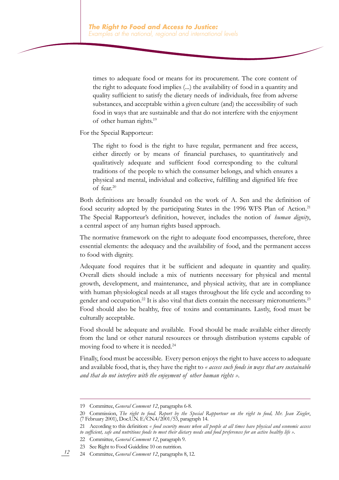times to adequate food or means for its procurement. The core content of the right to adequate food implies (...) the availability of food in a quantity and quality sufficient to satisfy the dietary needs of individuals, free from adverse substances, and acceptable within a given culture (and) the accessibility of such food in ways that are sustainable and that do not interfere with the enjoyment of other human rights.19

For the Special Rapporteur:

The right to food is the right to have regular, permanent and free access, either directly or by means of financial purchases, to quantitatively and qualitatively adequate and sufficient food corresponding to the cultural traditions of the people to which the consumer belongs, and which ensures a physical and mental, individual and collective, fulfilling and dignified life free of fear.20

Both definitions are broadly founded on the work of A. Sen and the definition of food security adopted by the participating States in the 1996 WFS Plan of Action.<sup>21</sup> The Special Rapporteur's definition, however, includes the notion of *human dignity*, a central aspect of any human rights based approach.

The normative framework on the right to adequate food encompasses, therefore, three essential elements: the adequacy and the availability of food, and the permanent access to food with dignity.

Adequate food requires that it be sufficient and adequate in quantity and quality. Overall diets should include a mix of nutrients necessary for physical and mental growth, development, and maintenance, and physical activity, that are in compliance with human physiological needs at all stages throughout the life cycle and according to gender and occupation.<sup>22</sup> It is also vital that diets contain the necessary micronutrients.<sup>23</sup> Food should also be healthy, free of toxins and contaminants. Lastly, food must be culturally acceptable.

Food should be adequate and available. Food should be made available either directly from the land or other natural resources or through distribution systems capable of moving food to where it is needed.<sup>24</sup>

Finally, food must be accessible. Every person enjoys the right to have access to adequate and available food, that is, they have the right to *« access such foods in ways that are sustainable and that do not interfere with the enjoyment of other human rights »*.

<sup>19</sup> Committee, *General Comment 12*, paragraphs 6-8.

<sup>20</sup> Commission, *The right to food. Report by the Special Rapporteur on the right to food, Mr. Jean Ziegler*, (7 February 2001), Doc.U.N. E/CN.4/2001/53, paragraph 14.

<sup>21</sup> According to this definition: *« food security means when all people at all times have physical and economic access to sufficient, safe and nutritious foods to meet their dietary needs and food preferences for an active healthy life »*.

<sup>22</sup> Committee, *General Comment 12*, paragraph 9.

<sup>23</sup> See Right to Food Guideline 10 on nutrition.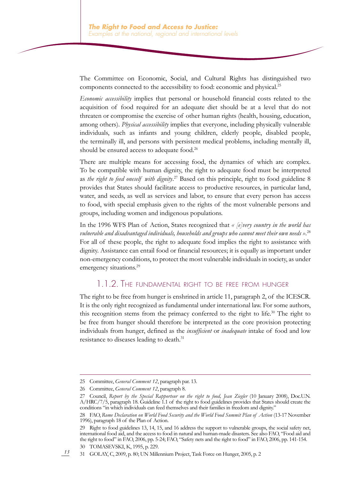The Committee on Economic, Social, and Cultural Rights has distinguished two components connected to the accessibility to food: economic and physical.25

*Economic accessibility* implies that personal or household financial costs related to the acquisition of food required for an adequate diet should be at a level that do not threaten or compromise the exercise of other human rights (health, housing, education, among others). *Physical accessibility* implies that everyone, including physically vulnerable individuals, such as infants and young children, elderly people, disabled people, the terminally ill, and persons with persistent medical problems, including mentally ill, should be ensured access to adequate food.<sup>26</sup>

There are multiple means for accessing food, the dynamics of which are complex. To be compatible with human dignity, the right to adequate food must be interpreted as *the right to feed oneself with dignity*. <sup>27</sup> Based on this principle, right to food guideline 8 provides that States should facilitate access to productive resources, in particular land, water, and seeds, as well as services and labor, to ensure that every person has access to food, with special emphasis given to the rights of the most vulnerable persons and groups, including women and indigenous populations.

In the 1996 WFS Plan of Action, States recognized that *« [e]very country in the world has vulnerable and disadvantaged individuals, households and groups who cannot meet their own needs »*. 28 For all of these people, the right to adequate food implies the right to assistance with dignity. Assistance can entail food or financial resources; it is equally as important under non-emergency conditions, to protect the most vulnerable individuals in society, as under emergency situations.<sup>29</sup>

#### 1.1.2. The fundamental right to be free from hunger

The right to be free from hunger is enshrined in article 11, paragraph 2, of the ICESCR. It is the only right recognized as fundamental under international law. For some authors, this recognition stems from the primacy conferred to the right to life.<sup>30</sup> The right to be free from hunger should therefore be interpreted as the core provision protecting individuals from hunger, defined as the *insufficient* or *inadequate* intake of food and low resistance to diseases leading to death.<sup>31</sup>

<sup>25</sup> Committee, *General Comment 12*, paragraph par. 13.

<sup>26</sup> Committee, *General Comment 12*, paragraph 8.

<sup>27</sup> Council, *Report by the Special Rapporteur on the right to food, Jean Ziegler* (10 January 2008), Doc.U.N. A/HRC/7/5, paragraph 18. Guideline 1.1 of the right to food guidelines provides that States should create the conditions "in which individuals can feed themselves and their families in freedom and dignity."

<sup>28</sup> FAO, Rome Declaration on World Food Security and the World Food Summit Plan of Action (13-17 November 1996), paragraph 18 of the Plan of Action.

<sup>29</sup> Right to food guidelines 13, 14, 15, and 16 address the support to vulnerable groups, the social safety net, international food aid, and the access to food in natural and human-made disasters. See also FAO, "Food aid and the right to food" in FAO, 2006, pp. 5-24; FAO, "Safety nets and the right to food" in FAO, 2006, pp. 141-154. 30 TOMASEVSKI, K, 1995, p. 229.

<sup>31</sup> GOLAY, C, 2009, p. 80; UN Millennium Project, Task Force on Hunger, 2005, p. 2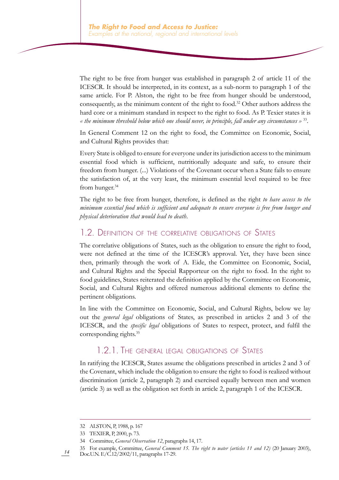The right to be free from hunger was established in paragraph 2 of article 11 of the ICESCR. It should be interpreted, in its context, as a sub-norm to paragraph 1 of the same article. For P. Alston, the right to be free from hunger should be understood, consequently, as the minimum content of the right to food.32 Other authors address the hard core or a minimum standard in respect to the right to food. As P. Texier states it is *« the minimum threshold below which one should never, in principle, fall under any circumstances »* 33.

In General Comment 12 on the right to food, the Committee on Economic, Social, and Cultural Rights provides that:

Every State is obliged to ensure for everyone under its jurisdiction access to the minimum essential food which is sufficient, nutritionally adequate and safe, to ensure their freedom from hunger. (...) Violations of the Covenant occur when a State fails to ensure the satisfaction of, at the very least, the minimum essential level required to be free from hunger.<sup>34</sup>

The right to be free from hunger, therefore, is defined as the right *to have access to the minimum essential food which is sufficient and adequate to ensure everyone is free from hunger and physical deterioration that would lead to death*.

#### 1.2. Definition of the correlative obligations of States

The correlative obligations of States, such as the obligation to ensure the right to food, were not defined at the time of the ICESCR's approval. Yet, they have been since then, primarily through the work of A. Eide, the Committee on Economic, Social, and Cultural Rights and the Special Rapporteur on the right to food. In the right to food guidelines, States reiterated the definition applied by the Committee on Economic, Social, and Cultural Rights and offered numerous additional elements to define the pertinent obligations.

In line with the Committee on Economic, Social, and Cultural Rights, below we lay out the *general legal* obligations of States, as prescribed in articles 2 and 3 of the ICESCR, and the *specific legal* obligations of States to respect, protect, and fulfil the corresponding rights.35

#### 1.2.1. The general legal obligations of States

In ratifying the ICESCR, States assume the obligations prescribed in articles 2 and 3 of the Covenant, which include the obligation to ensure the right to food is realized without discrimination (article 2, paragraph 2) and exercised equally between men and women (article 3) as well as the obligation set forth in article 2, paragraph 1 of the ICESCR.

<sup>32</sup> ALSTON, P, 1988, p. 167

<sup>33</sup> TEXIER, P, 2000, p. 73.

<sup>34</sup> Committee, *General Observation 12*, paragraphs 14, 17.

<sup>35</sup> For example, Committee, *General Comment 15. The right to water (articles 11 and 12)* (20 January 2003), Doc.U.N. E/C.12/2002/11, paragraphs 17-29.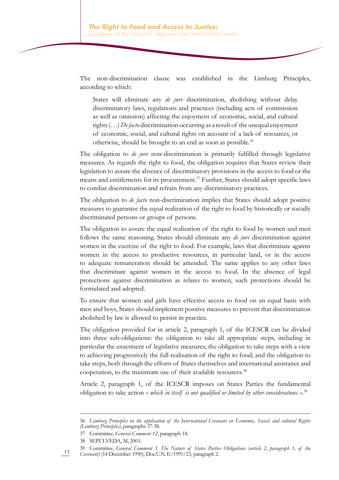The non-discrimination clause was established in the Limburg Principles, according to which:

States will eliminate any *de jure* discrimination, abolishing without delay discriminatory laws, regulations and practices (including acts of commission as well as omission) affecting the enjoyment of economic, social, and cultural rights (…) *De facto* discrimination occurring as a result of the unequal enjoyment of economic, social, and cultural rights on account of a lack of resources, or otherwise, should be brought to an end as soon as possible.36

The obligation to *de jure* non-discrimination is primarily fulfilled through legislative measures. As regards the right to food, the obligation requires that States review their legislation to assure the absence of discriminatory provisions in the access to food or the means and entitlements for its procurement.<sup>37</sup> Further, States should adopt specific laws to combat discrimination and refrain from any discriminatory practices.

The obligation to *de facto* non-discrimination implies that States should adopt positive measures to guarantee the equal realization of the right to food by historically or socially discriminated persons or groups of persons.

The obligation to assure the equal realization of the right to food by women and men follows the same reasoning. States should eliminate any *de jure* discrimination against women in the exercise of the right to food. For example, laws that discriminate against women in the access to productive resources, in particular land, or in the access to adequate remuneration should be amended. The same applies to any other laws that discriminate against women in the access to food. In the absence of legal protections against discrimination as relates to women, such protections should be formulated and adopted.

To ensure that women and girls have effective access to food on an equal basis with men and boys, States should implement positive measures to prevent that discrimination abolished by law is allowed to persist in practice.

The obligation provided for in article 2, paragraph 1, of the ICESCR can be divided into three sub-obligations: the obligation to take all appropriate steps, including in particular the enactment of legislative measures; the obligation to take steps with a view to achieving progressively the full realization of the right to food; and the obligation to take steps, both through the efforts of States themselves and international assistance and cooperation, to the maximum use of their available resources.<sup>38</sup>

Article 2, paragraph 1, of the ICESCR imposes on States Parties the fundamental obligation to take action *« which in itself is not qualified or limited by other considerations »*. 39

<sup>36</sup> *Limburg Principles on the application of the International Covenant on Economic, Social, and cultural Rights (Limburg Principles)*, paragraphs 37-38.

<sup>37</sup> Committee, *General Comment 12*, paragraph 18.

<sup>38</sup> SEPÚLVEDA, M, 2003.

<sup>39</sup> Committee, *General Comment 3. The Nature of States Parties Obligations (article 2, paragraph 1, of the Covenant)* (14 December 1990), Doc.U.N. E/1991/23, paragraph 2.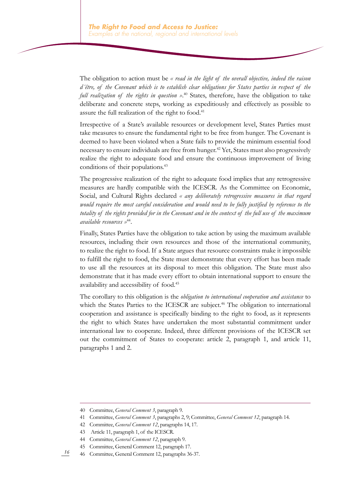The obligation to action must be *« read in the light of the overall objective, indeed the raison d´être, of the Covenant which is to establish clear obligations for States parties in respect of the full realization of the rights in question »*. <sup>40</sup> States, therefore, have the obligation to take deliberate and concrete steps, working as expeditiously and effectively as possible to assure the full realization of the right to food.<sup>41</sup>

Irrespective of a State's available resources or development level, States Parties must take measures to ensure the fundamental right to be free from hunger. The Covenant is deemed to have been violated when a State fails to provide the minimum essential food necessary to ensure individuals are free from hunger.<sup>42</sup> Yet, States must also progressively realize the right to adequate food and ensure the continuous improvement of living conditions of their populations.<sup>43</sup>

The progressive realization of the right to adequate food implies that any retrogressive measures are hardly compatible with the ICESCR. As the Committee on Economic, Social, and Cultural Rights declared *« any deliberately retrogressive measures in that regard would require the most careful consideration and would need to be fully justified by reference to the totality of the rights provided for in the Covenant and in the context of the full use of the maximum available resources »*<sup>44</sup>.

Finally, States Parties have the obligation to take action by using the maximum available resources, including their own resources and those of the international community, to realize the right to food. If a State argues that resource constraints make it impossible to fulfill the right to food, the State must demonstrate that every effort has been made to use all the resources at its disposal to meet this obligation. The State must also demonstrate that it has made every effort to obtain international support to ensure the availability and accessibility of food.<sup>45</sup>

The corollary to this obligation is the *obligation to international cooperation and assistance* to which the States Parties to the ICESCR are subject.<sup>46</sup> The obligation to international cooperation and assistance is specifically binding to the right to food, as it represents the right to which States have undertaken the most substantial commitment under international law to cooperate. Indeed, three different provisions of the ICESCR set out the commitment of States to cooperate: article 2, paragraph 1, and article 11, paragraphs 1 and 2.

<sup>40</sup> Committee, *General Comment 3*, paragraph 9.

<sup>41</sup> Committee, *General Comment 3*, paragraphs 2, 9; Committee, *General Comment 12*, paragraph 14.

<sup>42</sup> Committee, *General Comment 12*, paragraphs 14, 17.

<sup>43</sup> Article 11, paragraph 1, of the ICESCR.

<sup>44</sup> Committee, *General Comment 12*, paragraph 9.

<sup>45</sup> Committee, General Comment 12, paragraph 17.

*<sup>16</sup>* 46 Committee, General Comment 12, paragraphs 36-37.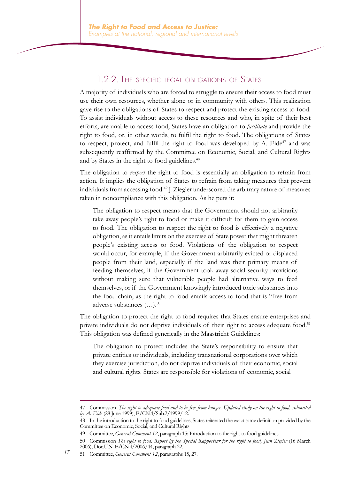#### 1.2.2. The specific legal obligations of States

A majority of individuals who are forced to struggle to ensure their access to food must use their own resources, whether alone or in community with others. This realization gave rise to the obligations of States to respect and protect the existing access to food. To assist individuals without access to these resources and who, in spite of their best efforts, are unable to access food, States have an obligation to *facilitate* and provide the right to food, or, in other words, to fulfil the right to food. The obligations of States to respect, protect, and fulfil the right to food was developed by A. Eide<sup>47</sup> and was subsequently reaffirmed by the Committee on Economic, Social, and Cultural Rights and by States in the right to food guidelines.<sup>48</sup>

The obligation to *respect* the right to food is essentially an obligation to refrain from action. It implies the obligation of States to refrain from taking measures that prevent individuals from accessing food.<sup>49</sup> J. Ziegler underscored the arbitrary nature of measures taken in noncompliance with this obligation. As he puts it:

The obligation to respect means that the Government should not arbitrarily take away people's right to food or make it difficult for them to gain access to food. The obligation to respect the right to food is effectively a negative obligation, as it entails limits on the exercise of State power that might threaten people's existing access to food. Violations of the obligation to respect would occur, for example, if the Government arbitrarily evicted or displaced people from their land, especially if the land was their primary means of feeding themselves, if the Government took away social security provisions without making sure that vulnerable people had alternative ways to feed themselves, or if the Government knowingly introduced toxic substances into the food chain, as the right to food entails access to food that is "free from adverse substances (…).50

The obligation to protect the right to food requires that States ensure enterprises and private individuals do not deprive individuals of their right to access adequate food.<sup>51</sup> This obligation was defined generically in the Maastricht Guidelines:

The obligation to protect includes the State's responsibility to ensure that private entities or individuals, including transnational corporations over which they exercise jurisdiction, do not deprive individuals of their economic, social and cultural rights. States are responsible for violations of economic, social

51 Committee, *General Comment 12*, paragraphs 15, 27.

<sup>47</sup> Commission *The right to adequate food and to be free from hunger. Updated study on the right to food, submitted by A. Eide* (28 June 1999), E/CN.4/Sub.2/1999/12.

<sup>48</sup> In the introduction to the right to food guidelines, Statesreiterated the exactsame definition provided by the Committee on Economic, Social, and Cultural Rights

<sup>49</sup> Committee, *General Comment 12*, paragraph 15; Introduction to the right to food guidelines.

<sup>50</sup> Commission *The right to food. Report by the Special Rapporteur for the right to food, Jean Ziegler* (16 March 2006), Doc.U.N. E/CN.4/2006/44, paragraph 22.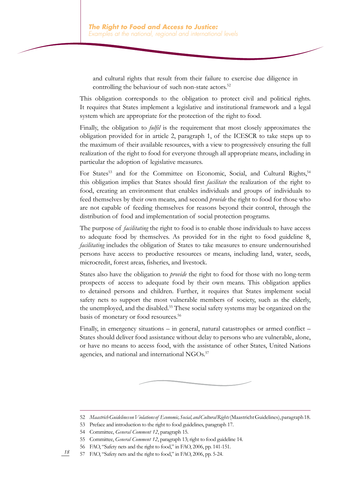and cultural rights that result from their failure to exercise due diligence in controlling the behaviour of such non-state actors.<sup>52</sup>

This obligation corresponds to the obligation to protect civil and political rights. It requires that States implement a legislative and institutional framework and a legal system which are appropriate for the protection of the right to food.

Finally, the obligation to *fulfil* is the requirement that most closely approximates the obligation provided for in article 2, paragraph 1, of the ICESCR to take steps up to the maximum of their available resources, with a view to progressively ensuring the full realization of the right to food for everyone through all appropriate means, including in particular the adoption of legislative measures.

For States<sup>53</sup> and for the Committee on Economic, Social, and Cultural Rights,<sup>54</sup> this obligation implies that States should first *facilitate* the realization of the right to food, creating an environment that enables individuals and groups of individuals to feed themselves by their own means, and second *provide* the right to food for those who are not capable of feeding themselves for reasons beyond their control, through the distribution of food and implementation of social protection programs.

The purpose of *facilitating* the right to food is to enable those individuals to have access to adequate food by themselves. As provided for in the right to food guideline 8, *facilitating* includes the obligation of States to take measures to ensure undernourished persons have access to productive resources or means, including land, water, seeds, microcredit, forest areas, fisheries, and livestock.

States also have the obligation to *provide* the right to food for those with no long-term prospects of access to adequate food by their own means. This obligation applies to detained persons and children. Further, it requires that States implement social safety nets to support the most vulnerable members of society, such as the elderly, the unemployed, and the disabled.55 These social safety systems may be organized on the basis of monetary or food resources.<sup>56</sup>

Finally, in emergency situations – in general, natural catastrophes or armed conflict – States should deliver food assistance without delay to persons who are vulnerable, alone, or have no means to access food, with the assistance of other States, United Nations agencies, and national and international NGOs.<sup>57</sup>

<sup>52</sup> *Maastrich Guidelines on Violations of Economic, Social, and Cultural Rights* (Maastricht Guidelines), paragraph 18.

<sup>53</sup> Preface and introduction to the right to food guidelines, paragraph 17.

<sup>54</sup> Committee, *General Comment 12*, paragraph 15.

<sup>55</sup> Committee, *General Comment 12*, paragraph 13; right to food guideline 14.

<sup>56</sup> FAO, "Safety nets and the right to food," in FAO, 2006, pp. 141-151.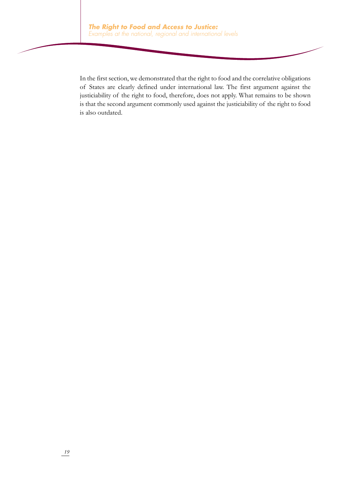In the first section, we demonstrated that the right to food and the correlative obligations of States are clearly defined under international law. The first argument against the justiciability of the right to food, therefore, does not apply. What remains to be shown is that the second argument commonly used against the justiciability of the right to food is also outdated.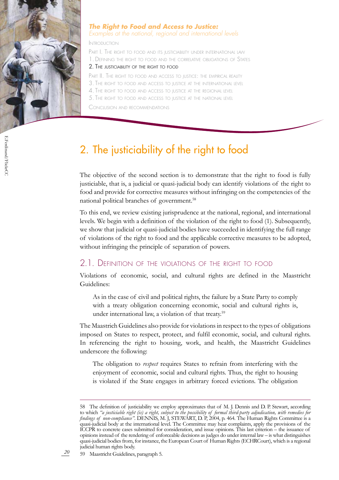

#### *The Right to Food and Access to Justice: Examples at the national, regional and international levels*

Introduction

PART I. THE RIGHT TO FOOD AND ITS JUSTICIABILITY UNDER INTERNATIONAL LAW 1. Defining the right to food and the correlative obligations of States 2. The justiciability of the right to food

PART II. THE RIGHT TO FOOD AND ACCESS TO JUSTICE: THE EMPIRICAL REALITY

- 3. The right to food and access to justice at the international level
- 4. The right to food and access to justice at the regional level
- 5. The right to food and access to justice at the national level

Conclusion and recommendations

## 2. The justiciability of the right to food

The objective of the second section is to demonstrate that the right to food is fully justiciable, that is, a judicial or quasi-judicial body can identify violations of the right to food and provide for corrective measures without infringing on the competencies of the national political branches of government.58

To this end, we review existing jurisprudence at the national, regional, and international levels. We begin with a definition of the violation of the right to food (1). Subsequently, we show that judicial or quasi-judicial bodies have succeeded in identifying the full range of violations of the right to food and the applicable corrective measures to be adopted, without infringing the principle of separation of powers.

#### 2.1. Definition of the violations of the right to food

Violations of economic, social, and cultural rights are defined in the Maastricht Guidelines:

As in the case of civil and political rights, the failure by a State Party to comply with a treaty obligation concerning economic, social and cultural rights is, under international law, a violation of that treaty.59

The Maastrich Guidelines also provide for violations in respect to the types of obligations imposed on States to respect, protect, and fulfil economic, social, and cultural rights. In referencing the right to housing, work, and health, the Maastricht Guidelines underscore the following:

The obligation to *respect* requires States to refrain from interfering with the enjoyment of economic, social and cultural rights. Thus, the right to housing is violated if the State engages in arbitrary forced evictions. The obligation

<sup>58</sup> The definition of justiciability we employ approximates that of M. J. Dennis and D. P. Stewart, according to which *"a justiciable right (is) a right, subject to the possibility of formal third-party adjudication, with remedies for findings of non-compliance"*. DENNIS, M. J, STEWART, D. P, 2004, p. 464. The Human Rights Committee is a quasi-judicial body at the international level. The Committee may hear complaints, apply the provisions of the ICCPR to concrete cases submitted for consideration, and issue opinions. This last criterion – the issuance of opinions instead of the rendering of enforceable decisions as judges do under internal law – is what distinguishes quasi-judicial bodies from, for instance, the European Court of Human Rights (ECHRCourt), which is a regional judicial human rights body.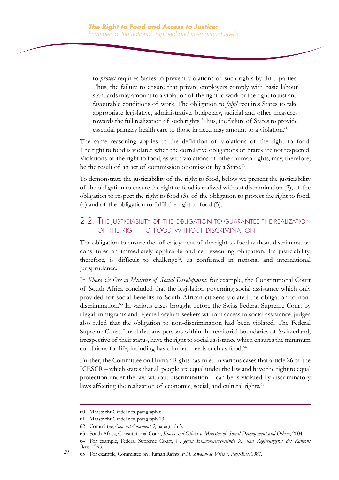to *protect* requires States to prevent violations of such rights by third parties. Thus, the failure to ensure that private employers comply with basic labour standards may amount to a violation of the right to work or the right to just and favourable conditions of work. The obligation to *fulfil* requires States to take appropriate legislative, administrative, budgetary, judicial and other measures towards the full realization of such rights. Thus, the failure of States to provide essential primary health care to those in need may amount to a violation.<sup>60</sup>

The same reasoning applies to the definition of violations of the right to food. The right to food is violated when the correlative obligations of States are not respected. Violations of the right to food, as with violations of other human rights, may, therefore, be the result of an act of commission or omission by a State.<sup>61</sup>

To demonstrate the justiciability of the right to food, below we present the justiciability of the obligation to ensure the right to food is realized without discrimination (2), of the obligation to respect the right to food (3), of the obligation to protect the right to food, (4) and of the obligation to fulfil the right to food (5).

#### 2.2. The justiciability of the obligation to guarantee the realization of the right to food without discrimination

The obligation to ensure the full enjoyment of the right to food without discrimination constitutes an immediately applicable and self-executing obligation. Its justiciability, therefore, is difficult to challenge<sup>62</sup>, as confirmed in national and international jurisprudence.

In *Khosa & Ors vs Minister of Social Development*, for example, the Constitutional Court of South Africa concluded that the legislation governing social assistance which only provided for social benefits to South African citizens violated the obligation to nondiscrimination.<sup>63</sup> In various cases brought before the Swiss Federal Supreme Court by illegal immigrants and rejected asylum-seekers without access to social assistance, judges also ruled that the obligation to non-discrimination had been violated. The Federal Supreme Court found that any persons within the territorial boundaries of Switzerland, irrespective of their status, have the right to social assistance which ensures the minimum conditions for life, including basic human needs such as food.<sup>64</sup>

Further, the Committee on Human Rights has ruled in various cases that article 26 of the ICESCR – which states that all people are equal under the law and have the right to equal protection under the law without discrimination – can be is violated by discriminatory laws affecting the realization of economic, social, and cultural rights.<sup>65</sup>

<sup>60</sup> Maastricht Guidelines, paragraph 6.

<sup>61</sup> Maastricht Guidelines, paragraph 13.

<sup>62</sup> Committee, *General Comment 3*, paragraph 5.

<sup>63</sup> South Africa, Constitutional Court, *Khosa and Others v. Minister of Social Development and Others*, 2004.

<sup>64</sup> For example, Federal Supreme Court, *V. gegen Einwohnergemeinde X. und Regierungsrat des Kantons Bern*, 1995.

<sup>65</sup> For example, Committee on Human Rights, *F.H. Zwaan-de Vries c. Pays-Bas*, 1987.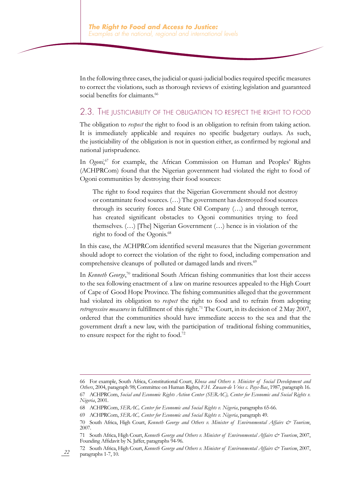In the following three cases, the judicial or quasi-judicial bodies required specific measures to correct the violations, such as thorough reviews of existing legislation and guaranteed social benefits for claimants.<sup>66</sup>

#### 2.3. The justiciability of the obligation to respect the right to food

The obligation to *respect* the right to food is an obligation to refrain from taking action. It is immediately applicable and requires no specific budgetary outlays. As such, the justiciability of the obligation is not in question either, as confirmed by regional and national jurisprudence.

In *Ogoni*,<sup>67</sup> for example, the African Commission on Human and Peoples' Rights (ACHPRCom) found that the Nigerian government had violated the right to food of Ogoni communities by destroying their food sources:

The right to food requires that the Nigerian Government should not destroy or contaminate food sources. (…) The government has destroyed food sources through its security forces and State Oil Company (…) and through terror, has created significant obstacles to Ogoni communities trying to feed themselves. (…) [The] Nigerian Government (…) hence is in violation of the right to food of the Ogonis.<sup>68</sup>

In this case, the ACHPRCom identified several measures that the Nigerian government should adopt to correct the violation of the right to food, including compensation and comprehensive cleanups of polluted or damaged lands and rivers.<sup>69</sup>

In *Kenneth George*,<sup>70</sup> traditional South African fishing communities that lost their access to the sea following enactment of a law on marine resources appealed to the High Court of Cape of Good Hope Province. The fishing communities alleged that the government had violated its obligation to *respect* the right to food and to refrain from adopting *retrogressive measures* in fulfillment of this right.<sup>71</sup> The Court, in its decision of 2 May 2007, ordered that the communities should have immediate access to the sea and that the government draft a new law, with the participation of traditional fishing communities, to ensure respect for the right to food.<sup>72</sup>

<sup>66</sup> For example, South Africa, Constitutional Court, *Khosa and Others v. Minister of Social Development and Others*, 2004, paragraph 98; Committee on Human Rights, *F.H. Zwaan-de Vries c. Pays-Bas*, 1987, paragraph 16. 67 ACHPRCom, *Social and Economic Rights Action Center (SERAC), Center for Economic and Social Rights v. Nigeria*, 2001.

<sup>68</sup> ACHPRCom, *SERAC, Center for Economic and Social Rights v. Nigeria*, paragraphs 65-66.

<sup>69</sup> ACHPRCom, *SERAC, Center for Economic and Social Rights v. Nigeria*, paragraph 49.

<sup>70</sup> South Africa, High Court, *Kenneth George and Others v. Minister of Environmental Affairs & Tourism*, 2007.

<sup>71</sup> South Africa, High Court, *Kenneth George and Others v. Minister of Environmental Affairs & Tourism*, 2007, Founding Affidavit by N. Jaffer, paragraphs 94-96.

<sup>72</sup> South Africa, High Court, *Kenneth George and Others v. Minister of Environmental Affairs & Tourism*, 2007, paragraphs 1-7, 10.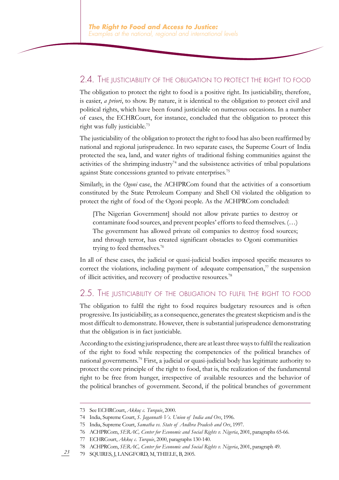#### 2.4. The justiciability of the obligation to protect the right to food

The obligation to protect the right to food is a positive right. Its justiciability, therefore, is easier, *a priori*, to show. By nature, it is identical to the obligation to protect civil and political rights, which have been found justiciable on numerous occasions. In a number of cases, the ECHRCourt, for instance, concluded that the obligation to protect this right was fully justiciable.<sup>73</sup>

The justiciability of the obligation to protect the right to food has also been reaffirmed by national and regional jurisprudence. In two separate cases, the Supreme Court of India protected the sea, land, and water rights of traditional fishing communities against the activities of the shrimping industry<sup>74</sup> and the subsistence activities of tribal populations against State concessions granted to private enterprises.<sup>75</sup>

Similarly, in the *Ogoni* case, the ACHPRCom found that the activities of a consortium constituted by the State Petroleum Company and Shell Oil violated the obligation to protect the right of food of the Ogoni people. As the ACHPRCom concluded:

[The Nigerian Government] should not allow private parties to destroy or contaminate food sources, and prevent peoples' efforts to feed themselves. (…) The government has allowed private oil companies to destroy food sources; and through terror, has created significant obstacles to Ogoni communities trying to feed themselves.<sup>76</sup>

In all of these cases, the judicial or quasi-judicial bodies imposed specific measures to correct the violations, including payment of adequate compensation, $7<sup>7</sup>$  the suspension of illicit activities, and recovery of productive resources.<sup>78</sup>

#### 2.5. The justiciability of the obligation to fulfil the right to food

The obligation to fulfil the right to food requires budgetary resources and is often progressive. Its justiciability, as a consequence, generates the greatest skepticism and is the most difficult to demonstrate. However, there is substantial jurisprudence demonstrating that the obligation is in fact justiciable.

According to the existing jurisprudence, there are at least three ways to fulfil the realization of the right to food while respecting the competencies of the political branches of national governments.<sup>79</sup> First, a judicial or quasi-judicial body has legitimate authority to protect the core principle of the right to food, that is, the realization of the fundamental right to be free from hunger, irrespective of available resources and the behavior of the political branches of government. Second, if the political branches of government

<sup>73</sup> See ECHRCourt, *Akkoç c. Turquie*, 2000.

<sup>74</sup> India, Supreme Court, *S. Jagannath Vs. Union of India and Ors*, 1996.

<sup>75</sup> India, Supreme Court, *Samatha vs. State of Andhra Pradesh and Ors*, 1997.

<sup>76</sup> ACHPRCom, *SERAC, Center for Economic and Social Rights v. Nigeria*, 2001, paragraphs 65-66.

<sup>77</sup> ECHRCourt, *Akkoç c. Turquie*, 2000, paragraphs 130-140.

<sup>78</sup> ACHPRCom, *SERAC, Center for Economic and Social Rights v. Nigeria*, 2001, paragraph 49.

*<sup>23</sup>* 79 SQUIRES, J, LANGFORD, M, THIELE, B, 2005.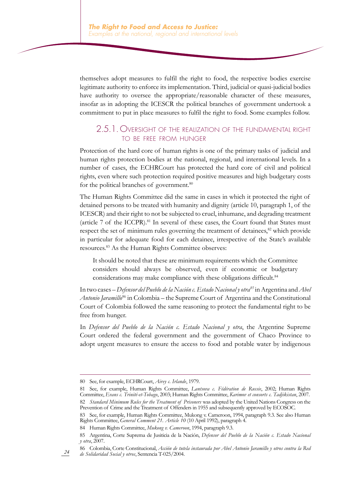themselves adopt measures to fulfil the right to food, the respective bodies exercise legitimate authority to enforce its implementation. Third, judicial or quasi-judicial bodies have authority to oversee the appropriate/reasonable character of these measures, insofar as in adopting the ICESCR the political branches of government undertook a commitment to put in place measures to fulfil the right to food. Some examples follow.

#### 2.5.1. Oversight of the realization of the fundamental right to be free from hunger

Protection of the hard core of human rights is one of the primary tasks of judicial and human rights protection bodies at the national, regional, and international levels. In a number of cases, the ECHRCourt has protected the hard core of civil and political rights, even where such protection required positive measures and high budgetary costs for the political branches of government.<sup>80</sup>

The Human Rights Committee did the same in cases in which it protected the right of detained persons to be treated with humanity and dignity (article 10, paragraph 1, of the ICESCR) and their right to not be subjected to cruel, inhumane, and degrading treatment (article  $7$  of the ICCPR).<sup>81</sup> In several of these cases, the Court found that States must respect the set of minimum rules governing the treatment of detainees,<sup>82</sup> which provide in particular for adequate food for each detainee, irrespective of the State's available resources.83 As the Human Rights Committee observes:

It should be noted that these are minimum requirements which the Committee considers should always be observed, even if economic or budgetary considerations may make compliance with these obligations difficult.<sup>84</sup>

In two cases – *Defensor del Pueblo de la Nación c. Estado Nacional y otra<sup>85</sup> in Argentina and Abel Antonio Jaramillo*86 in Colombia – the Supreme Court of Argentina and the Constitutional Court of Colombia followed the same reasoning to protect the fundamental right to be free from hunger.

In *Defensor del Pueblo de la Nación c. Estado Nacional y otra*, the Argentine Supreme Court ordered the federal government and the government of Chaco Province to adopt urgent measures to ensure the access to food and potable water by indigenous

*24*

84 Human Rights Committee, *Mukong v. Cameroon*, 1994, paragraph 9.3.

<sup>80</sup> See, for example, ECHRCourt, *Airey c. Irlande*, 1979.

<sup>81</sup> See, for example, Human Rights Committee, *Lantsova c. Fédération de Russie*, 2002; Human Rights Committee, *Evans c. Trinité-et-Tobago*, 2003; Human Rights Committee, *Karimov et consorts c. Tadjikistan*, 2007. 82 *Standard Minimum Rules for the Treatment of Prisoners* was adopted by the United Nations Congress on the Prevention of Crime and the Treatment of Offenders in 1955 and subsequently approved by ECOSOC.

<sup>83</sup> See, for example, Human Rights Committee, Mukong v. Cameroon, 1994, paragraph 9.3. See also Human Rights Committee, *General Comment 21. Article 10* (10 April 1992), paragraph 4.

<sup>85</sup> Argentina, Corte Suprema de Jusiticia de la Nación, *Defensor del Pueblo de la Nación c. Estado Nacional y otra*, 2007.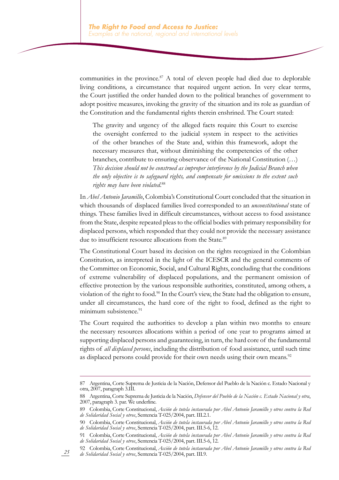communities in the province.<sup>87</sup> A total of eleven people had died due to deplorable living conditions, a circumstance that required urgent action. In very clear terms, the Court justified the order handed down to the political branches of government to adopt positive measures, invoking the gravity of the situation and its role as guardian of the Constitution and the fundamental rights therein enshrined. The Court stated:

The gravity and urgency of the alleged facts require this Court to exercise the oversight conferred to the judicial system in respect to the activities of the other branches of the State and, within this framework, adopt the necessary measures that, without diminishing the competencies of the other branches, contribute to ensuring observance of the National Constitution (…) *This decision should not be construed as improper interference by the Judicial Branch when the only objective is to safeguard rights, and compensate for omissions to the extent such rights may have been violated*. 88

In *Abel Antonio Jaramillo*, Colombia's Constitutional Court concluded that the situation in which thousands of displaced families lived corresponded to an *unconstitutional* state of things. These families lived in difficult circumstances, without access to food assistance from the State, despite repeated pleas to the official bodies with primary responsibility for displaced persons, which responded that they could not provide the necessary assistance due to insufficient resource allocations from the State.<sup>89</sup>

The Constitutional Court based its decision on the rights recognized in the Colombian Constitution, as interpreted in the light of the ICESCR and the general comments of the Committee on Economic, Social, and Cultural Rights, concluding that the conditions of extreme vulnerability of displaced populations, and the permanent omission of effective protection by the various responsible authorities, constituted, among others, a violation of the right to food.<sup>90</sup> In the Court's view, the State had the obligation to ensure, under all circumstances, the hard core of the right to food, defined as the right to minimum subsistence.<sup>91</sup>

The Court required the authorities to develop a plan within two months to ensure the necessary resources allocations within a period of one year to programs aimed at supporting displaced persons and guaranteeing, in turn, the hard core of the fundamental rights of *all displaced persons*, including the distribution of food assistance, until such time as displaced persons could provide for their own needs using their own means.<sup>92</sup>

<sup>87</sup> Argentina, Corte Suprema de Justicia de la Nación, Defensor del Pueblo de la Nación c. Estado Nacional y otra, 2007, paragraph 3.III.

<sup>88</sup> Argentina, Corte Suprema de Justicia de la Nación, *Defensor del Pueblo de la Nación c. Estado Nacional y otra*, 2007, paragraph 3. par. We underline.

<sup>89</sup> Colombia, Corte Constitucional, *Acción de tutela instaurada por Abel Antonio Jaramillo y otros contra la Red de Solidaridad Social y otros*, Sentencia T-025/2004, part. III.2.1.

<sup>90</sup> Colombia, Corte Constitucional, *Acción de tutela instaurada por Abel Antonio Jaramillo y otros contra la Red de Solidaridad Social y otros*, Sentencia T-025/2004, part. III.5-6, 12.

<sup>91</sup> Colombia, Corte Constitucional, *Acción de tutela instaurada por Abel Antonio Jaramillo y otros contra la Red de Solidaridad Social y otros*, Sentencia T-025/2004, part. III.5-6, 12.

<sup>92</sup> Colombia, Corte Constitucional, *Acción de tutela instaurada por Abel Antonio Jaramillo y otros contra la Red de Solidaridad Social y otros*, Sentencia T-025/2004, part. III.9.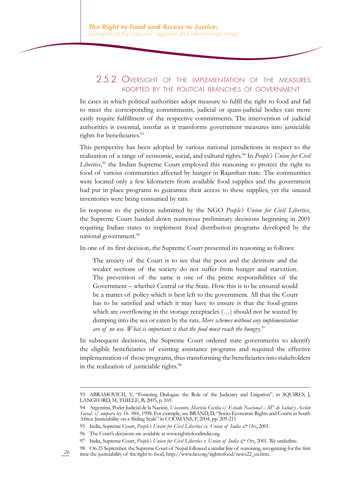#### 2.5.2. Oversight of the implementation of the measures adopted by the political branches of government

In cases in which political authorities adopt measure to fulfil the right to food and fail to meet the corresponding commitments, judicial or quasi-judicial bodies can more easily require fulfillment of the respective commitments. The intervention of judicial authorities is essential, insofar as it transforms government measures into justiciable rights for beneficiaries.<sup>93</sup>

This perspective has been adopted by various national jurisdictions in respect to the realization of a range of economic, social, and cultural rights.<sup>94</sup> In *People's Union for Civil Liberties*, 95 the Indian Supreme Court employed this reasoning to protect the right to food of various communities affected by hunger in Rajasthan state. The communities were located only a few kilometers from available food supplies and the government had put in place programs to guarantee their access to these supplies, yet the unused inventories were being consumed by rats.

In response to the petition submitted by the NGO *People's Union for Civil Liberties*, the Supreme Court handed down numerous preliminary decisions beginning in 2001 requiring Indian states to implement food distribution programs developed by the national government.96

In one of its first decision, the Supreme Court presented its reasoning as follows:

The anxiety of the Court is to see that the poor and the destitute and the weaker sections of the society do not suffer from hunger and starvation. The prevention of the same is one of the prime responsibilities of the Government – whether Central or the State. How this is to be ensured would be a matter of policy which is best left to the government. All that the Court has to be satisfied and which it may have to ensure is that the food-grains which are overflowing in the storage receptacles (…) should not be wasted by dumping into the sea or eaten by the rats. *Mere schemes without any implementation are of no use. What is important is that the food must reach the hungry*. 97

In subsequent decisions, the Supreme Court ordered state governments to identify the eligible beneficiaries of existing assistance programs and required the effective implementation of those programs, thus transforming the beneficiaries into stakeholders in the realization of justiciable rights.<sup>98</sup>

<sup>93</sup> ABRAMOVICH, V, "Fostering Dialogue: the Role of the Judiciary and Litigation", in SQUIRES, J, LANGFORD, M, THIELE, B, 2005, p. 169.

<sup>94</sup> Argentina, Poder Judicial de la Nación, *Viceconte, Mariela Cecilia c/ Estado Nacional – M° de Salud y Acción Social- s/ amparo ley 16. 986*, 1998. For example, see BRAND, D, "Socio-Economic Rights and Courts in South Africa: Justiciability on a Sliding Scale" in COOMANS, F, 2004, pp. 209-211.

<sup>95</sup> India, Supreme Court, *People's Union for Civil Liberties vs. Union of India & Ors*, 2001.

<sup>96</sup> The Court's decisions are available at www.righttofoodindia.org.

<sup>97</sup> India, Supreme Court, *People's Union for Civil Liberties v. Union of India & Ors*, 2001. We underline.

<sup>98</sup> On 25 September, the Supreme Court of Nepal followed a similar line of reasoning, recognizing for the first time the justiciability of the right to food, http://www.fao.org/righttofood/news22\_en.htm.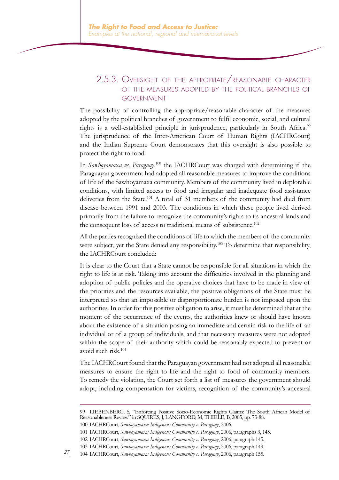#### 2.5.3. Oversight of the appropriate/reasonable character of the measures adopted by the political branches of government

The possibility of controlling the appropriate/reasonable character of the measures adopted by the political branches of government to fulfil economic, social, and cultural rights is a well-established principle in jurisprudence, particularly in South Africa.<sup>99</sup> The jurisprudence of the Inter-American Court of Human Rights (IACHRCourt) and the Indian Supreme Court demonstrates that this oversight is also possible to protect the right to food.

In *Sawhoyamaxa vs. Paraguay*,<sup>100</sup> the IACHRCourt was charged with determining if the Paraguayan government had adopted all reasonable measures to improve the conditions of life of the Sawhoyamaxa community. Members of the community lived in deplorable conditions, with limited access to food and irregular and inadequate food assistance deliveries from the State.101 A total of 31 members of the community had died from disease between 1991 and 2003. The conditions in which these people lived derived primarily from the failure to recognize the community's rights to its ancestral lands and the consequent loss of access to traditional means of subsistence.<sup>102</sup>

All the parties recognized the conditions of life to which the members of the community were subject, yet the State denied any responsibility.<sup>103</sup> To determine that responsibility, the IACHRCourt concluded:

It is clear to the Court that a State cannot be responsible for all situations in which the right to life is at risk. Taking into account the difficulties involved in the planning and adoption of public policies and the operative choices that have to be made in view of the priorities and the resources available, the positive obligations of the State must be interpreted so that an impossible or disproportionate burden is not imposed upon the authorities. In order for this positive obligation to arise, it must be determined that at the moment of the occurrence of the events, the authorities knew or should have known about the existence of a situation posing an immediate and certain risk to the life of an individual or of a group of individuals, and that necessary measures were not adopted within the scope of their authority which could be reasonably expected to prevent or avoid such risk.<sup>104</sup>

The IACHRCourt found that the Paraguayan government had not adopted all reasonable measures to ensure the right to life and the right to food of community members. To remedy the violation, the Court set forth a list of measures the government should adopt, including compensation for victims, recognition of the community's ancestral

<sup>99</sup> LIEBENBERG, S, "Enforcing Positive Socio-Economic Rights Claims: The South African Model of Reasonableness Review" in SQUIRES, J, LANGFORD, M, THIELE, B, 2005, pp. 73-88.

<sup>100</sup> IACHRCourt, *Sawhoyamaxa Indigenous Community c. Paraguay*, 2006.

<sup>101</sup> IACHRCourt, *Sawhoyamaxa Indigenous Community c. Paraguay*, 2006, paragraphs 3, 145.

<sup>102</sup> IACHRCourt, *Sawhoyamaxa Indigenous Community c. Paraguay*, 2006, paragraph 145.

<sup>103</sup> IACHRCourt, *Sawhoyamaxa Indigenous Community c. Paraguay*, 2006, paragraph 149.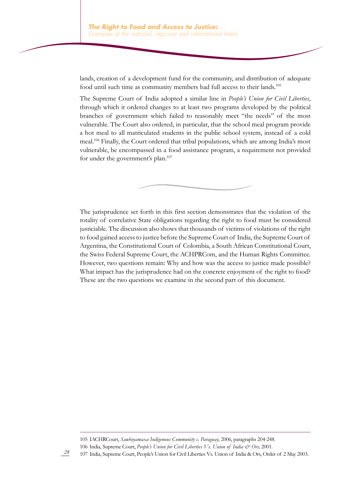lands, creation of a development fund for the community, and distribution of adequate food until such time as community members had full access to their lands.<sup>105</sup>

The Supreme Court of India adopted a similar line in *People's Union for Civil Liberties*, through which it ordered changes to at least two programs developed by the political branches of government which failed to reasonably meet "the needs" of the most vulnerable. The Court also ordered, in particular, that the school meal program provide a hot meal to all matriculated students in the public school system, instead of a cold meal.106 Finally, the Court ordered that tribal populations, which are among India's most vulnerable, be encompassed in a food assistance program, a requirement not provided for under the government's plan.<sup>107</sup>

The jurisprudence set forth in this first section demonstrates that the violation of the totality of correlative State obligations regarding the right to food must be considered justiciable. The discussion also shows that thousands of victims of violations of the right to food gained access to justice before the Supreme Court of India, the Supreme Court of Argentina, the Constitutional Court of Colombia, a South African Constitutional Court, the Swiss Federal Supreme Court, the ACHPRCom, and the Human Rights Committee. However, two questions remain: Why and how was the access to justice made possible? What impact has the jurisprudence had on the concrete enjoyment of the right to food? These are the two questions we examine in the second part of this document.

<sup>105</sup> IACHRCourt, *Sawhoyamaxa Indigenous Community c. Paraguay,* 2006, paragraphs 204-248. 106 India, Supreme Court, *People's Union for Civil Liberties Vs. Union of India & Ors,* 2001.

<sup>107</sup> India, Supreme Court, People's Union for Civil Liberties Vs. Union of India & Ors, Order of 2 May 2003.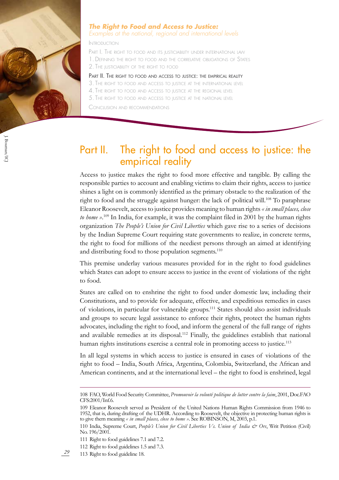

 $J.$  Bouman/IC J. Bouman/ICJ

#### *The Right to Food and Access to Justice:*

*Examples at the national, regional and international levels*

Introduction

PART I. THE RIGHT TO FOOD AND ITS JUSTICIABILITY UNDER INTERNATIONAL LAW 1. Defining the right to food and the correlative obligations of States

2. The justiciability of the right to food

#### PART II. THE RIGHT TO FOOD AND ACCESS TO JUSTICE: THE EMPIRICAL REALITY

3. The right to food and access to justice at the international level

- 4. The right to food and access to justice at the regional level
- 5. The right to food and access to justice at the national level

Conclusion and recommendations

## Part II. The right to food and access to justice: the empirical reality

Access to justice makes the right to food more effective and tangible. By calling the responsible parties to account and enabling victims to claim their rights, access to justice shines a light on is commonly identified as the primary obstacle to the realization of the right to food and the struggle against hunger: the lack of political will.<sup>108</sup> To paraphrase Eleanor Roosevelt, access to justice provides meaning to human rights *« in small places, close*  to home ».<sup>109</sup> In India, for example, it was the complaint filed in 2001 by the human rights organization *The People's Union for Civil Liberties* which gave rise to a series of decisions by the Indian Supreme Court requiring state governments to realize, in concrete terms, the right to food for millions of the neediest persons through an aimed at identifying and distributing food to those population segments.<sup>110</sup>

This premise underlay various measures provided for in the right to food guidelines which States can adopt to ensure access to justice in the event of violations of the right to food.

States are called on to enshrine the right to food under domestic law, including their Constitutions, and to provide for adequate, effective, and expeditious remedies in cases of violations, in particular for vulnerable groups.111 States should also assist individuals and groups to secure legal assistance to enforce their rights, protect the human rights advocates, including the right to food, and inform the general of the full range of rights and available remedies at its disposal.<sup>112</sup> Finally, the guidelines establish that national human rights institutions exercise a central role in promoting access to justice.<sup>113</sup>

In all legal systems in which access to justice is ensured in cases of violations of the right to food – India, South Africa, Argentina, Colombia, Switzerland, the African and American continents, and at the international level – the right to food is enshrined, legal

<sup>108</sup> FAO, World Food Security Committee, *Promouvoir la volonté politique de lutter contre la faim*, 2001, Doc.FAO CFS:2001/Inf.6.

<sup>109</sup> Eleanor Roosevelt served as President of the United Nations Human Rights Commission from 1946 to 1952, that is, during drafting of the UDHR. According to Roosevelt, the objective in protecting human rights is to give them meaning *« in small places, close to home »*. See ROBINSON, M, 2003, p.1.

<sup>110</sup> India, Supreme Court, *People's Union for Civil Liberties Vs. Union of India & Ors*, Writ Petition (Civil) No. 196/2001.

<sup>111</sup> Right to food guidelines 7.1 and 7.2.

<sup>112</sup> Right to food guidelines 1.5 and 7.3.

*<sup>29</sup>* 113 Right to food guideline 18.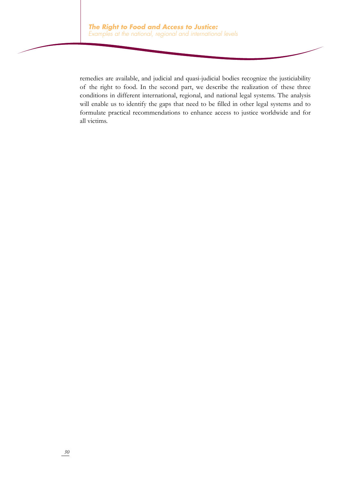remedies are available, and judicial and quasi-judicial bodies recognize the justiciability of the right to food. In the second part, we describe the realization of these three conditions in different international, regional, and national legal systems. The analysis will enable us to identify the gaps that need to be filled in other legal systems and to formulate practical recommendations to enhance access to justice worldwide and for all victims.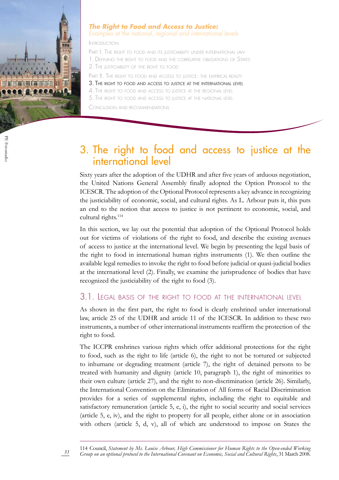

#### *The Right to Food and Access to Justice: Examples at the national, regional and international levels*

Introduction

PART I. THE RIGHT TO FOOD AND ITS JUSTICIABILITY UNDER INTERNATIONAL LAW 1. Defining the right to food and the correlative obligations of States 2. The justiciability of the right to food

PART II. THE RIGHT TO FOOD AND ACCESS TO JUSTICE: THE EMPIRICAL REALITY

- 3. The right to food and access to justice at the international level
- 4. The right to food and access to justice at the regional level

5. The right to food and access to justice at the national level

Conclusion and recommendations

## 3. The right to food and access to justice at the international level

Sixty years after the adoption of the UDHR and after five years of arduous negotiation, the United Nations General Assembly finally adopted the Option Protocol to the ICESCR. The adoption of the Optional Protocol represents a key advance in recognizing the justiciability of economic, social, and cultural rights. As L. Arbour puts it, this puts an end to the notion that access to justice is not pertinent to economic, social, and cultural rights.<sup>114</sup>

In this section, we lay out the potential that adoption of the Optional Protocol holds out for victims of violations of the right to food, and describe the existing avenues of access to justice at the international level. We begin by presenting the legal basis of the right to food in international human rights instruments (1). We then outline the available legal remedies to invoke the right to food before judicial or quasi-judicial bodies at the international level (2). Finally, we examine the jurisprudence of bodies that have recognized the justiciability of the right to food (3).

#### 3.1. Legal basis of the right to food at the international level

As shown in the first part, the right to food is clearly enshrined under international law, article 25 of the UDHR and article 11 of the ICESCR. In addition to these two instruments, a number of other international instruments reaffirm the protection of the right to food.

The ICCPR enshrines various rights which offer additional protections for the right to food, such as the right to life (article 6), the right to not be tortured or subjected to inhumane or degrading treatment (article 7), the right of detained persons to be treated with humanity and dignity (article 10, paragraph 1), the right of minorities to their own culture (article 27), and the right to non-discrimination (article 26). Similarly, the International Convention on the Elimination of All forms of Racial Discrimination provides for a series of supplemental rights, including the right to equitable and satisfactory remuneration (article 5, e, i), the right to social security and social services (article 5, e, iv), and the right to property for all people, either alone or in association with others (article 5, d, v), all of which are understood to impose on States the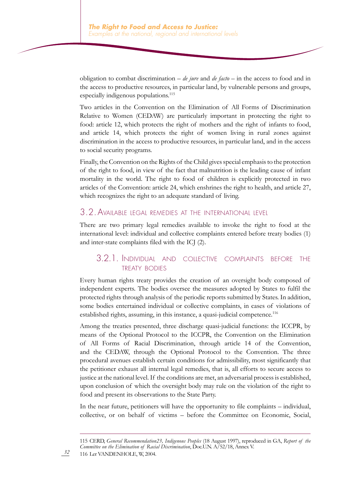obligation to combat discrimination – *de jure* and *de facto* – in the access to food and in the access to productive resources, in particular land, by vulnerable persons and groups, especially indigenous populations.<sup>115</sup>

Two articles in the Convention on the Elimination of All Forms of Discrimination Relative to Women (CEDAW) are particularly important in protecting the right to food: article 12, which protects the right of mothers and the right of infants to food, and article 14, which protects the right of women living in rural zones against discrimination in the access to productive resources, in particular land, and in the access to social security programs.

Finally, the Convention on the Rights of the Child gives special emphasis to the protection of the right to food, in view of the fact that malnutrition is the leading cause of infant mortality in the world. The right to food of children is explicitly protected in two articles of the Convention: article 24, which enshrines the right to health, and article 27, which recognizes the right to an adequate standard of living.

#### 3.2.Available legal remedies at the international level

There are two primary legal remedies available to invoke the right to food at the international level: individual and collective complaints entered before treaty bodies (1) and inter-state complaints filed with the ICJ (2).

#### 3.2.1. Individual and collective complaints before the treaty bodies

Every human rights treaty provides the creation of an oversight body composed of independent experts. The bodies oversee the measures adopted by States to fulfil the protected rights through analysis of the periodic reports submitted by States. In addition, some bodies entertained individual or collective complaints, in cases of violations of established rights, assuming, in this instance, a quasi-judicial competence.<sup>116</sup>

Among the treaties presented, three discharge quasi-judicial functions: the ICCPR, by means of the Optional Protocol to the ICCPR, the Convention on the Elimination of All Forms of Racial Discrimination, through article 14 of the Convention, and the CEDAW, through the Optional Protocol to the Convention. The three procedural avenues establish certain conditions for admissibility, most significantly that the petitioner exhaust all internal legal remedies, that is, all efforts to secure access to justice at the national level. If the conditions are met, an adversarial process is established, upon conclusion of which the oversight body may rule on the violation of the right to food and present its observations to the State Party.

In the near future, petitioners will have the opportunity to file complaints – individual, collective, or on behalf of victims – before the Committee on Economic, Social,

<sup>115</sup> CERD, *General Recommendation23, Indigenous Peoples* (18 August 1997), reproduced in GA, *Report of the Committee on the Elimination of Racial Discrimination*, Doc.U.N. A/52/18, Annex V. 116 Ler VANDENHOLE, W, 2004.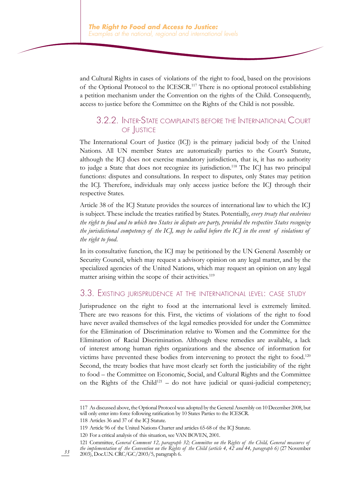and Cultural Rights in cases of violations of the right to food, based on the provisions of the Optional Protocol to the ICESCR.<sup>117</sup> There is no optional protocol establishing a petition mechanism under the Convention on the rights of the Child. Consequently, access to justice before the Committee on the Rights of the Child is not possible.

#### 3.2.2. Inter-State complaints before the International Court of Justice

The International Court of Justice (ICJ) is the primary judicial body of the United Nations. All UN member States are automatically parties to the Court's Statute, although the ICJ does not exercise mandatory jurisdiction, that is, it has no authority to judge a State that does not recognize its jurisdiction.<sup>118</sup> The ICJ has two principal functions: disputes and consultations. In respect to disputes, only States may petition the ICJ. Therefore, individuals may only access justice before the ICJ through their respective States.

Article 38 of the ICJ Statute provides the sources of international law to which the ICJ is subject. These include the treaties ratified by States. Potentially, *every treaty that enshrines the right to food and to which two States in dispute are party, provided the respective States recognize the jurisdictional competency of the ICJ, may be called before the ICJ in the event of violations of the right to food*.

In its consultative function, the ICJ may be petitioned by the UN General Assembly or Security Council, which may request a advisory opinion on any legal matter, and by the specialized agencies of the United Nations, which may request an opinion on any legal matter arising within the scope of their activities.<sup>119</sup>

#### 3.3. Existing jurisprudence at the international level: case study

Jurisprudence on the right to food at the international level is extremely limited. There are two reasons for this. First, the victims of violations of the right to food have never availed themselves of the legal remedies provided for under the Committee for the Elimination of Discrimination relative to Women and the Committee for the Elimination of Racial Discrimination. Although these remedies are available, a lack of interest among human rights organizations and the absence of information for victims have prevented these bodies from intervening to protect the right to food.<sup>120</sup> Second, the treaty bodies that have most clearly set forth the justiciability of the right to food – the Committee on Economic, Social, and Cultural Rights and the Committee on the Rights of the Child<sup>121</sup> – do not have judicial or quasi-judicial competency;

<sup>117</sup> As discussed above, the Optional Protocol was adopted by the General Assembly on 10 December 2008, but will only enter into force following ratification by 10 States Parties to the ICESCR.

<sup>118</sup> Articles 36 and 37 of the ICJ Statute.

<sup>119</sup> Article 96 of the United Nations Charter and articles 65-68 of the ICJ Statute.

<sup>120</sup> For a critical analysis of this situation, see VAN BOVEN, 2001.

<sup>121</sup> Committee, *General Comment 12, paragraph 32; Committee on the Rights of the Child, General measures of the implementation of the Convention on the Rights of the Child (article 4, 42 and 44, paragraph 6)* (27 November 2003), Doc.U.N. CRC/GC/2003/5, paragraph 6.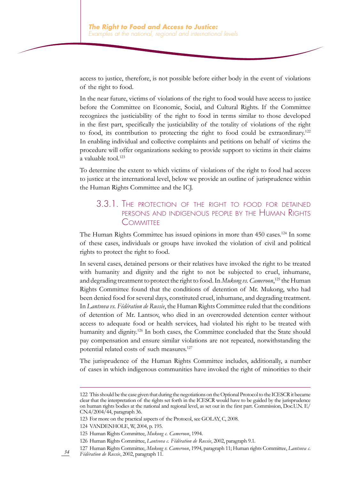access to justice, therefore, is not possible before either body in the event of violations of the right to food.

In the near future, victims of violations of the right to food would have access to justice before the Committee on Economic, Social, and Cultural Rights. If the Committee recognizes the justiciability of the right to food in terms similar to those developed in the first part, specifically the justiciability of the totality of violations of the right to food, its contribution to protecting the right to food could be extraordinary.122 In enabling individual and collective complaints and petitions on behalf of victims the procedure will offer organizations seeking to provide support to victims in their claims a valuable tool.<sup>123</sup>

To determine the extent to which victims of violations of the right to food had access to justice at the international level, below we provide an outline of jurisprudence within the Human Rights Committee and the ICJ.

#### 3.3.1. The protection of the right to food for detained persons and indigenous people by the Human Rights **COMMITTEE**

The Human Rights Committee has issued opinions in more than 450 cases.<sup>124</sup> In some of these cases, individuals or groups have invoked the violation of civil and political rights to protect the right to food.

In several cases, detained persons or their relatives have invoked the right to be treated with humanity and dignity and the right to not be subjected to cruel, inhumane, and degrading treatment to protect the right to food. In *Mukong vs. Cameroon*, 125 the Human Rights Committee found that the conditions of detention of Mr. Mukong, who had been denied food for several days, constituted cruel, inhumane, and degrading treatment. In *Lantsova vs. Fédération de Russie*, the Human Rights Committee ruled that the conditions of detention of Mr. Lantsov, who died in an overcrowded detention center without access to adequate food or health services, had violated his right to be treated with humanity and dignity.<sup>126</sup> In both cases, the Committee concluded that the State should pay compensation and ensure similar violations are not repeated, notwithstanding the potential related costs of such measures.<sup>127</sup>

The jurisprudence of the Human Rights Committee includes, additionally, a number of cases in which indigenous communities have invoked the right of minorities to their

<sup>122</sup> This should be the case given that during the negotiations on the Optional Protocol to the ICESCR it became clear that the interpretation of the rights set forth in the ICESCR would have to be guided by the jurisprudence on human rights bodies at the national and regional level, as set out in the first part. Commission, Doc.U.N. E/ CN.4/2004/44, paragraph 36.

<sup>123</sup> For more on the practical aspects of the Protocol, see GOLAY, C, 2008.

<sup>124</sup> VANDENHOLE, W, 2004, p. 195.

<sup>125</sup> Human Rights Committee, *Mukong c. Cameroon*, 1994.

<sup>126</sup> Human Rights Committee, *Lantsova c. Fédération de Russie*, 2002, paragraph 9.1.

*<sup>34</sup>* 127 Human Rights Committee, *Mukong v. Cameroon*, 1994, paragraph 11; Human rights Committee, *Lantsova c. Fédération de Russie*, 2002, paragraph 11.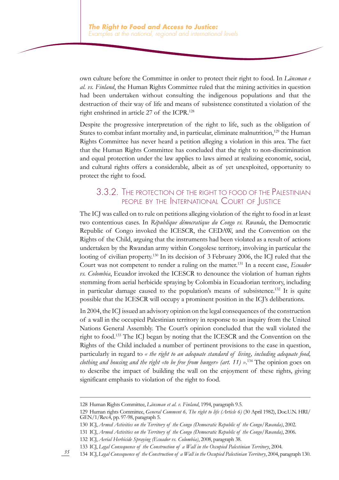own culture before the Committee in order to protect their right to food. In *Länsman e al. vs. Finland*, the Human Rights Committee ruled that the mining activities in question had been undertaken without consulting the indigenous populations and that the destruction of their way of life and means of subsistence constituted a violation of the right enshrined in article 27 of the ICPR.<sup>128</sup>

Despite the progressive interpretation of the right to life, such as the obligation of States to combat infant mortality and, in particular, eliminate malnutrition,<sup>129</sup> the Human Rights Committee has never heard a petition alleging a violation in this area. The fact that the Human Rights Committee has concluded that the right to non-discrimination and equal protection under the law applies to laws aimed at realizing economic, social, and cultural rights offers a considerable, albeit as of yet unexploited, opportunity to protect the right to food.

#### 3.3.2. The protection of the right to food of the Palestinian people by the International Court of Justice

The ICJ was called on to rule on petitions alleging violation of the right to food in at least two contentious cases. In *République démocratique du Congo vs. Rwanda*, the Democratic Republic of Congo invoked the ICESCR, the CEDAW, and the Convention on the Rights of the Child, arguing that the instruments had been violated as a result of actions undertaken by the Rwandan army within Congolese territory, involving in particular the looting of civilian property.<sup>130</sup> In its decision of 3 February 2006, the ICJ ruled that the Court was not competent to render a ruling on the matter.131 In a recent case, *Ecuador vs. Colombia*, Ecuador invoked the ICESCR to denounce the violation of human rights stemming from aerial herbicide spraying by Colombia in Ecuadorian territory, including in particular damage caused to the population's means of subsistence.132 It is quite possible that the ICESCR will occupy a prominent position in the ICJ's deliberations.

In 2004, the ICJ issued an advisory opinion on the legal consequences of the construction of a wall in the occupied Palestinian territory in response to an inquiry from the United Nations General Assembly. The Court's opinion concluded that the wall violated the right to food.133 The ICJ began by noting that the ICESCR and the Convention on the Rights of the Child included a number of pertinent provisions to the case in question, particularly in regard to *« the right to an adequate standard of living, including adequate food, clothing and housing and the right «to be free from hunger» (art. 11) »*. <sup>134</sup> The opinion goes on to describe the impact of building the wall on the enjoyment of these rights, giving significant emphasis to violation of the right to food.

<sup>128</sup> Human Rights Committee, *Länsman et al. v. Finland*, 1994, paragraph 9.5.

<sup>129</sup> Human rights Committee, *General Comment 6, The right to life (Article 6)* (30 April 1982), Doc.U.N. HRI/ GEN/1/Rev.4, pp. 97-98, paragraph 5.

<sup>130</sup> ICJ, *Armed Activities on the Territory of the Congo (Democratic Republic of the Congo/Rwanda)*, 2002.

<sup>131</sup> ICJ, *Armed Activities on the Territory of the Congo (Democratic Republic of the Congo/Rwanda)*, 2006.

<sup>132</sup> ICJ, *Aerial Herbicide Spraying (Ecuador vs. Colombia)*, 2008, paragraph 38.

<sup>133</sup> ICJ, *Legal Consequence of the Construction of a Wall in the Occupied Palestinian Territory*, 2004.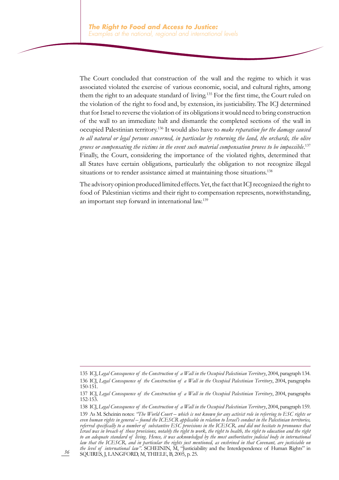The Court concluded that construction of the wall and the regime to which it was associated violated the exercise of various economic, social, and cultural rights, among them the right to an adequate standard of living.135 For the first time, the Court ruled on the violation of the right to food and, by extension, its justiciability. The ICJ determined that for Israel to reverse the violation of its obligations it would need to bring construction of the wall to an immediate halt and dismantle the completed sections of the wall in occupied Palestinian territory.136 It would also have to *make reparation for the damage caused to all natural or legal persons concerned, in particular by returning the land, the orchards, the olive groves or compensating the victims in the event such material compensation proves to be impossible*. 137 Finally, the Court, considering the importance of the violated rights, determined that all States have certain obligations, particularly the obligation to not recognize illegal situations or to render assistance aimed at maintaining those situations.<sup>138</sup>

The advisory opinion produced limited effects. Yet, the fact that ICJ recognized the right to food of Palestinian victims and their right to compensation represents, notwithstanding, an important step forward in international law.139

<sup>135</sup> ICJ, *Legal Consequence of the Construction of a Wall in the Occupied Palestinian Territory*, 2004, paragraph 134. 136 ICJ, *Legal Consequence of the Construction of a Wall in the Occupied Palestinian Territory*, 2004, paragraphs 150-151.

<sup>137</sup> ICJ, *Legal Consequence of the Construction of a Wall in the Occupied Palestinian Territory*, 2004, paragraphs 152-153.

<sup>138</sup> ICJ, *Legal Consequence of the Construction of a Wall in the Occupied Palestinian Territory*, 2004, paragraph 159. 139 As M. Scheinin notes: *"The World Court – which is not known for any activist role in referring to ESC rights or even human rights in general – found the ICESCR applicable in relation to Israel's conduct in the Palestinian territories, referred specifically to a number of substantive ESC provisions in the ICESCR, and did not hesitate to pronounce that Israel was in breach of those provisions, notably the right to work, the right to health, the right to education and the right to an adequate standard of living. Hence, it was acknowledged by the most authoritative judicial body in international law that the ICESCR, and in particular the rights just mentioned, as enshrined in that Covenant, are justiciable on the level of international law"*. SCHEININ, M, "Justiciability and the Interdependence of Human Rights" in SQUIRES, J, LANGFORD, M, THIELE, B, 2005, p. 25.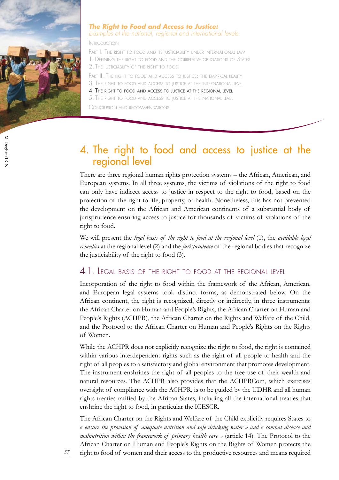

#### *The Right to Food and Access to Justice: Examples at the national, regional and international levels*

Introduction

PART I. THE RIGHT TO FOOD AND ITS JUSTICIABILITY UNDER INTERNATIONAL LAW 1. Defining the right to food and the correlative obligations of States 2. The justiciability of the right to food

PART II. THE RIGHT TO FOOD AND ACCESS TO JUSTICE: THE EMPIRICAL REALITY

3. The right to food and access to justice at the international level

4. The right to food and access to justice at the regional level

5. The right to food and access to justice at the national level

Conclusion and recommendations

## 4. The right to food and access to justice at the regional level

There are three regional human rights protection systems – the African, American, and European systems. In all three systems, the victims of violations of the right to food can only have indirect access to justice in respect to the right to food, based on the protection of the right to life, property, or health. Nonetheless, this has not prevented the development on the African and American continents of a substantial body of jurisprudence ensuring access to justice for thousands of victims of violations of the right to food.

We will present the *legal basis of the right to food at the regional level* (1), the *available legal remedies* at the regional level (2) and the *jurisprudence* of the regional bodies that recognize the justiciability of the right to food (3).

#### 4.1. Legal basis of the right to food at the regional level

Incorporation of the right to food within the framework of the African, American, and European legal systems took distinct forms, as demonstrated below. On the African continent, the right is recognized, directly or indirectly, in three instruments: the African Charter on Human and People's Rights, the African Charter on Human and People's Rights (ACHPR), the African Charter on the Rights and Welfare of the Child, and the Protocol to the African Charter on Human and People's Rights on the Rights of Women.

While the ACHPR does not explicitly recognize the right to food, the right is contained within various interdependent rights such as the right of all people to health and the right of all peoples to a satisfactory and global environment that promotes development. The instrument enshrines the right of all peoples to the free use of their wealth and natural resources. The ACHPR also provides that the ACHPRCom, which exercises oversight of compliance with the ACHPR, is to be guided by the UDHR and all human rights treaties ratified by the African States, including all the international treaties that enshrine the right to food, in particular the ICESCR.

The African Charter on the Rights and Welfare of the Child explicitly requires States to *« ensure the provision of adequate nutrition and safe drinking water » and « combat disease and malnutrition within the framework of primary health care »* (article 14). The Protocol to the African Charter on Human and People's Rights on the Rights of Women protects the

*37*

right to food of women and their access to the productive resources and means required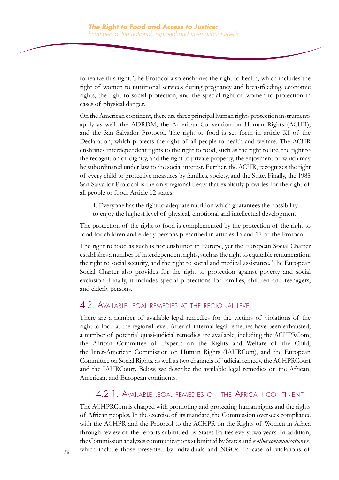to realize this right. The Protocol also enshrines the right to health, which includes the right of women to nutritional services during pregnancy and breastfeeding, economic rights, the right to social protection, and the special right of women to protection in cases of physical danger.

On the American continent, there are three principal human rights protection instruments apply as well: the ADRDM, the American Convention on Human Rights (ACHR), and the San Salvador Protocol. The right to food is set forth in article XI of the Declaration, which protects the right of all people to health and welfare. The ACHR enshrines interdependent rights to the right to food, such as the right to life, the right to the recognition of dignity, and the right to private property, the enjoyment of which may be subordinated under law to the social interest. Further, the ACHR, recognizes the right of every child to protective measures by families, society, and the State. Finally, the 1988 San Salvador Protocol is the only regional treaty that explicitly provides for the right of all people to food. Article 12 states:

1. Everyone has the right to adequate nutrition which guarantees the possibility to enjoy the highest level of physical, emotional and intellectual development.

The protection of the right to food is complemented by the protection of the right to food for children and elderly persons prescribed in articles 15 and 17 of the Protocol.

The right to food as such is not enshrined in Europe, yet the European Social Charter establishes a number of interdependent rights, such as the right to equitable remuneration, the right to social security, and the right to social and medical assistance. The European Social Charter also provides for the right to protection against poverty and social exclusion. Finally, it includes special protections for families, children and teenagers, and elderly persons.

#### 4.2. Available legal remedies at the regional level

There are a number of available legal remedies for the victims of violations of the right to food at the regional level. After all internal legal remedies have been exhausted, a number of potential quasi-judicial remedies are available, including the ACHPRCom, the African Committee of Experts on the Rights and Welfare of the Child, the Inter-American Commission on Human Rights (IAHRCom), and the European Committee on Social Rights, as well as two channels of judicial remedy, the ACHPRCourt and the IAHRCourt. Below, we describe the available legal remedies on the African, American, and European continents.

#### 4.2.1. Available legal remedies on the African continent

The ACHPRCom is charged with promoting and protecting human rights and the rights of African peoples. In the exercise of its mandate, the Commission oversees compliance with the ACHPR and the Protocol to the ACHPR on the Rights of Women in Africa through review of the reports submitted by States Parties every two years. In addition, the Commission analyzes communications submitted by States and *« other communications »*, which include those presented by individuals and NGOs. In case of violations of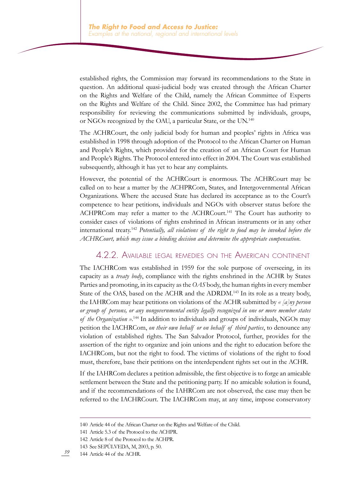established rights, the Commission may forward its recommendations to the State in question. An additional quasi-judicial body was created through the African Charter on the Rights and Welfare of the Child, namely the African Committee of Experts on the Rights and Welfare of the Child. Since 2002, the Committee has had primary responsibility for reviewing the communications submitted by individuals, groups, or NGOs recognized by the OAU, a particular State, or the UN.<sup>140</sup>

The ACHRCourt, the only judicial body for human and peoples' rights in Africa was established in 1998 through adoption of the Protocol to the African Charter on Human and People's Rights, which provided for the creation of an African Court for Human and People's Rights. The Protocol entered into effect in 2004. The Court was established subsequently, although it has yet to hear any complaints.

However, the potential of the ACHRCourt is enormous. The ACHRCourt may be called on to hear a matter by the ACHPRCom, States, and Intergovernmental African Organizations. Where the accused State has declared its acceptance as to the Court's competence to hear petitions, individuals and NGOs with observer status before the ACHPRCom may refer a matter to the ACHRCourt.<sup>141</sup> The Court has authority to consider cases of violations of rights enshrined in African instruments or in any other international treaty.<sup>142</sup> *Potentially, all violations of the right to food may be invoked before the ACHRCourt, which may issue a binding decision and determine the appropriate compensation*.

#### 4.2.2. Available legal remedies on the American continent

The IACHRCom was established in 1959 for the sole purpose of overseeing, in its capacity as a *treaty body*, compliance with the rights enshrined in the ACHR by States Parties and promoting, in its capacity as the *OAS* body, the human rights in every member State of the OAS, based on the ACHR and the ADRDM.<sup>143</sup> In its role as a treaty body, the IAHRCom may hear petitions on violations of the ACHR submitted by *« [a]ny person or group of persons, or any nongovernmental entity legally recognized in one or more member states of the Organization »*. <sup>144</sup> In addition to individuals and groups of individuals, NGOs may petition the IACHRCom, *on their own behalf or on behalf of third parties*, to denounce any violation of established rights. The San Salvador Protocol, further, provides for the assertion of the right to organize and join unions and the right to education before the IACHRCom, but not the right to food. The victims of violations of the right to food must, therefore, base their petitions on the interdependent rights set out in the ACHR.

If the IAHRCom declares a petition admissible, the first objective is to forge an amicable settlement between the State and the petitioning party. If no amicable solution is found, and if the recommendations of the IAHRCom are not observed, the case may then be referred to the IACHRCourt. The IACHRCom may, at any time, impose conservatory

<sup>140</sup> Article 44 of the African Charter on the Rights and Welfare of the Child.

<sup>141</sup> Article 5.3 of the Protocol to the ACHPR.

<sup>142</sup> Article 8 of the Protocol to the ACHPR.

<sup>143</sup> See SEPÚLVEDA, M, 2003, p. 50.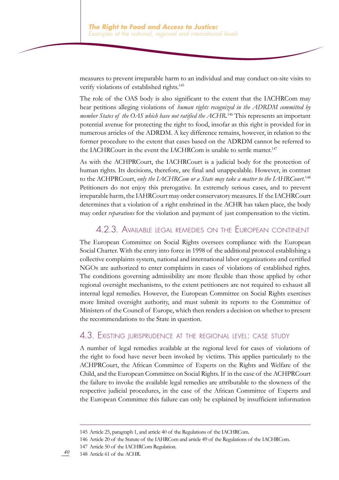measures to prevent irreparable harm to an individual and may conduct on-site visits to verify violations of established rights.<sup>145</sup>

The role of the OAS body is also significant to the extent that the IACHRCom may hear petitions alleging violations of *human rights recognized in the ADRDM committed by*  member States of the OAS which have not ratified the ACHR.<sup>146</sup> This represents an important potential avenue for protecting the right to food, insofar as this right is provided for in numerous articles of the ADRDM. A key difference remains, however, in relation to the former procedure to the extent that cases based on the ADRDM cannot be referred to the IACHRCourt in the event the IACHRCom is unable to settle matter.<sup>147</sup>

As with the ACHPRCourt, the IACHRCourt is a judicial body for the protection of human rights. Its decisions, therefore, are final and unappealable. However, in contrast to the ACHPRCourt, *only the IACHRCom or a State may take a matter to the IAHRCourt*. 148 Petitioners do not enjoy this prerogative. In extremely serious cases, and to prevent irreparable harm, the IAHRCourt may order conservatory measures. If the IACHRCourt determines that a violation of a right enshrined in the ACHR has taken place, the body may order *reparations* for the violation and payment of just compensation to the victim.

#### 4.2.3. Available legal remedies on the European continent

The European Committee on Social Rights oversees compliance with the European Social Charter. With the entry into force in 1998 of the additional protocol establishing a collective complaints system, national and international labor organizations and certified NGOs are authorized to enter complaints in cases of violations of established rights. The conditions governing admissibility are more flexible than those applied by other regional oversight mechanisms, to the extent petitioners are not required to exhaust all internal legal remedies. However, the European Committee on Social Rights exercises more limited oversight authority, and must submit its reports to the Committee of Ministers of the Council of Europe, which then renders a decision on whether to present the recommendations to the State in question.

#### 4.3. Existing jurisprudence at the regional level: case study

A number of legal remedies available at the regional level for cases of violations of the right to food have never been invoked by victims. This applies particularly to the ACHPRCourt, the African Committee of Experts on the Rights and Welfare of the Child, and the European Committee on Social Rights. If in the case of the ACHPRCourt the failure to invoke the available legal remedies are attributable to the slowness of the respective judicial procedures, in the case of the African Committee of Experts and the European Committee this failure can only be explained by insufficient information

147 Article 50 of the IACHRCom Regulation.

<sup>145</sup> Article 25, paragraph 1, and article 40 of the Regulations of the IACHRCom.

<sup>146</sup> Article 20 of the Statute of the IAHRCom and article 49 of the Regulations of the IACHRCom.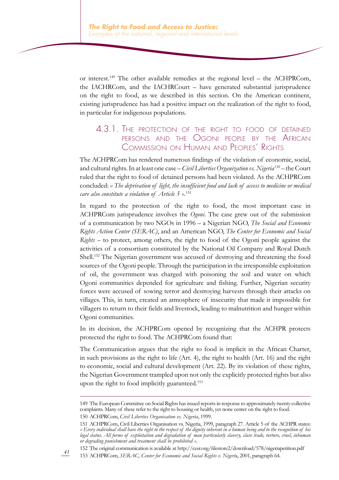or interest.<sup>149</sup> The other available remedies at the regional level – the ACHPRCom, the IACHRCom, and the IACHRCourt – have generated substantial jurisprudence on the right to food, as we described in this section. On the American continent, existing jurisprudence has had a positive impact on the realization of the right to food, in particular for indigenous populations.

#### 4.3.1. The protection of the right to food of detained persons and the Ogoni people by the African Commission on Human and Peoples' Rights

The ACHPRCom has rendered numerous findings of the violation of economic, social, and cultural rights. In at least one case – *Civil Liberties Organization vs. Nigeria150* – the Court ruled that the right to food of detained persons had been violated. As the ACHPRCom concluded: *« The deprivation of light, the insufficient food and lack of access to medicine or medical care also constitute a violation of Article 5 »*. 151

In regard to the protection of the right to food, the most important case in ACHPRCom jurisprudence involves the *Ogoni*. The case grew out of the submission of a communication by two NGOs in 1996 – a Nigerian NGO, *The Social and Economic Rights Action Center (SERAC)*, and an American NGO, *The Center for Economic and Social Rights* – to protect, among others, the right to food of the Ogoni people against the activities of a consortium constituted by the National Oil Company and Royal Dutch Shell.152 The Nigerian government was accused of destroying and threatening the food sources of the Ogoni people. Through the participation in the irresponsible exploitation of oil, the government was charged with poisoning the soil and water on which Ogoni communities depended for agriculture and fishing. Further, Nigerian security forces were accused of sowing terror and destroying harvests through their attacks on villages. This, in turn, created an atmosphere of insecurity that made it impossible for villagers to return to their fields and livestock, leading to malnutrition and hunger within Ogoni communities.

In its decision, the ACHPRCom opened by recognizing that the ACHPR protects protected the right to food. The ACHPRCom found that:

The Communication argues that the right to food is implicit in the African Charter, in such provisions as the right to life (Art. 4), the right to health (Art. 16) and the right to economic, social and cultural development (Art. 22). By its violation of these rights, the Nigerian Government trampled upon not only the explicitly protected rights but also upon the right to food implicitly guaranteed.<sup>153</sup>

152 The original communication is available at http://cesr.org/filestore2/download/578/nigeriapetition.pdf

<sup>149</sup> The European Committee on Social Rights has issued reports in response to approximately twenty collective complaints. Many of these refer to the right to housing or health, yet none center on the right to food. 150 ACHPRCom, *Civil Liberties Organisation vs. Nigeria*, 1999.

<sup>151</sup> ACHPRCom, Civil Liberties Organisation vs. Nigeria, 1999, paragraph 27. Article 5 of the ACHPR states: *« Every individual shall have the right to the respect of the dignity inherent in a human being and to the recognition of his legal status. All forms of exploitation and degradation of man particularly slavery, slave trade, torture, cruel, inhuman or degrading punishment and treatment shall be prohibited ».*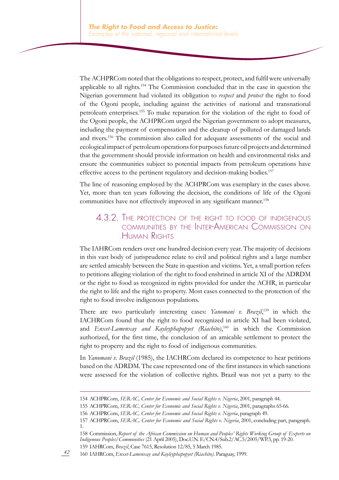The ACHPRCom noted that the obligations to respect, protect, and fulfil were universally applicable to all rights.<sup>154</sup> The Commission concluded that in the case in question the Nigerian government had violated its obligation to *respect* and *protect* the right to food of the Ogoni people, including against the activities of national and transnational petroleum enterprises.155 To make reparation for the violation of the right to food of the Ogoni people, the ACHPRCom urged the Nigerian government to adopt measures, including the payment of compensation and the cleanup of polluted or damaged lands and rivers.156 The commission also called for adequate assessments of the social and ecological impact of petroleum operations for purposes future oil projects and determined that the government should provide information on health and environmental risks and ensure the communities subject to potential impacts from petroleum operations have effective access to the pertinent regulatory and decision-making bodies.<sup>157</sup>

The line of reasoning employed by the ACHPRCom was exemplary in the cases above. Yet, more than ten years following the decision, the conditions of life of the Ogoni communities have not effectively improved in any significant manner.<sup>158</sup>

#### 4.3.2. The protection of the right to food of indigenous communities by the Inter-American Commission on Human Rights

The IAHRCom renders over one hundred decision every year. The majority of decisions in this vast body of jurisprudence relate to civil and political rights and a large number are settled amicably between the State in question and victims. Yet, a small portion refers to petitions alleging violation of the right to food enshrined in article XI of the ADRDM or the right to food as recognized in rights provided for under the ACHR, in particular the right to life and the right to property. Most cases connected to the protection of the right to food involve indigenous populations.

There are two particularly interesting cases: *Yanomani v. Brazil*, 159 in which the IACHRCom found that the right to food recognized in article XI had been violated, and *Enxet-Lamenxay and Kayleyphapopyet (Riachito)*, 160 in which the Commission authorized, for the first time, the conclusion of an amicable settlement to protect the right to property and the right to food of indigenous communities.

In *Yanomani v. Brazil* (1985), the IACHRCom declared its competence to hear petitions based on the ADRDM. The case represented one of the first instances in which sanctions were assessed for the violation of collective rights. Brazil was not yet a party to the

<sup>154</sup> ACHPRCom, *SERAC, Center for Economic and Social Rights v. Nigeria*, 2001, paragraph 44.

<sup>155</sup> ACHPRCom, *SERAC, Center for Economic and Social Rights v. Nigeria*, 2001, paragraphs 65-66.

<sup>156</sup> ACHPRCom, *SERAC, Center for Economic and Social Rights v. Nigeria*, paragraph 49.

<sup>157</sup> ACHPRCom, *SERAC, Center for Economic and Social Rights v. Nigeria*, 2001, concluding part, paragraph. 1.

<sup>158</sup> Commission, *Report of the African Commission on Human and Peoples' Rights Working Group of Experts on Indigenous Peoples/Communities* (21 April 2005), Doc.U.N. E/CN.4/Sub.2/AC.5/2005/WP.3, pp. 19-20. 159 IAHRCom, *Brazil*, Case 7615, Resolution 12/85, 5 March 1985.

<sup>160</sup> IAHRCom, *Enxet-Lamenxay and Kayleyphapopyet (Riachito)*. Paraguay, 1999.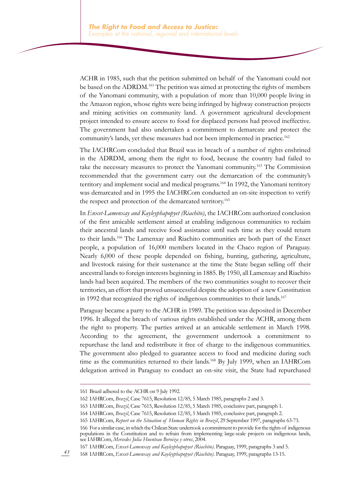ACHR in 1985, such that the petition submitted on behalf of the Yanomani could not be based on the ADRDM.<sup>161</sup> The petition was aimed at protecting the rights of members of the Yanomani community, with a population of more than 10,000 people living in the Amazon region, whose rights were being infringed by highway construction projects and mining activities on community land. A government agricultural development project intended to ensure access to food for displaced persons had proved ineffective. The government had also undertaken a commitment to demarcate and protect the community's lands, yet these measures had not been implemented in practice.<sup>162</sup>

The IACHRCom concluded that Brazil was in breach of a number of rights enshrined in the ADRDM, among them the right to food, because the country had failed to take the necessary measures to protect the Yanomani community.163 The Commission recommended that the government carry out the demarcation of the community's territory and implement social and medical programs.<sup>164</sup> In 1992, the Yanomani territory was demarcated and in 1995 the IACHRCom conducted an on-site inspection to verify the respect and protection of the demarcated territory.<sup>165</sup>

In *Enxet-Lamenxay and Kayleyphapopyet (Riachito)*, the IACHRCom authorized conclusion of the first amicable settlement aimed at enabling indigenous communities to reclaim their ancestral lands and receive food assistance until such time as they could return to their lands.166 The Lamenxay and Riachito communities are both part of the Enxet people, a population of 16,000 members located in the Chaco region of Paraguay. Nearly 6,000 of these people depended on fishing, hunting, gathering, agriculture, and livestock raising for their sustenance at the time the State began selling off their ancestral lands to foreign interests beginning in 1885. By 1950, all Lamenxay and Riachito lands had been acquired. The members of the two communities sought to recover their territories, an effort that proved unsuccessful despite the adoption of a new Constitution in 1992 that recognized the rights of indigenous communities to their lands.<sup>167</sup>

Paraguay became a party to the ACHR in 1989. The petition was deposited in December 1996. It alleged the breach of various rights established under the ACHR, among them the right to property. The parties arrived at an amicable settlement in March 1998. According to the agreement, the government undertook a commitment to repurchase the land and redistribute it free of charge to the indigenous communities. The government also pledged to guarantee access to food and medicine during such time as the communities returned to their lands.<sup>168</sup> By July 1999, when an IAHRCom delegation arrived in Paraguay to conduct an on-site visit, the State had repurchased

<sup>161</sup> Brazil adhered to the ACHR on 9 July 1992.

<sup>162</sup> IAHRCom, *Brazil*, Case 7615, Resolution 12/85, 5 March 1985, paragraphs 2 and 3.

<sup>163</sup> IAHRCom, *Brazil*, Case 7615, Resolution 12/85, 5 March 1985, conclusive part, paragraph 1.

<sup>164</sup> IAHRCom, *Brazil*, Case 7615, Resolution 12/85, 5 March 1985, conclusive part, paragraph 2.

<sup>165</sup> IAHRCom, *Report on the Situation of Human Rights in Brazil*, 29 September 1997, paragraphs 63-73.

<sup>166</sup> For a similar case, in which the Chilean State undertook a commitment to provide for the rights of indigenous populations in the Constitution and to refrain from implementing large-scale projects on indigenous lands, see IAHRCom, *Mercedes Julia Huenteao Beroiza y otros*, 2004.

<sup>167</sup> IAHRCom, *Enxet-Lamenxay and Kayleyphapopyet (Riachito)*. Paraguay, 1999, paragraphs 3 and 5.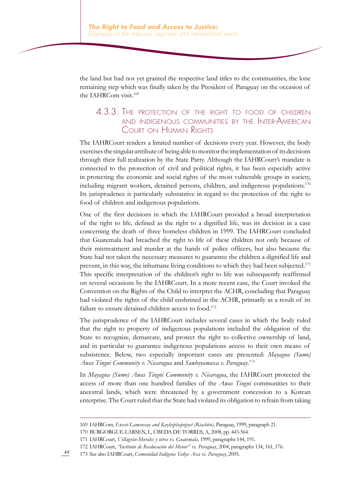the land but had not yet granted the respective land titles to the communities, the lone remaining step which was finally taken by the President of Paraguay on the occasion of the IAHRCom visit.169

#### 4.3.3. The protection of the right to food of children and indigenous communities by the Inter-American Court on Human Rights

The IAHRCourt renders a limited number of decisions every year. However, the body exercises the singular attribute of being able to monitor the implementation of its decisions through their full realization by the State Party. Although the IAHRCourt's mandate is connected to the protection of civil and political rights, it has been especially active in protecting the economic and social rights of the most vulnerable groups in society, including migrant workers, detained persons, children, and indigenous populations.<sup>170</sup> Its jurisprudence is particularly substantive in regard to the protection of the right to food of children and indigenous populations.

One of the first decisions in which the IAHRCourt provided a broad interpretation of the right to life, defined as the right to a dignified life, was its decision in a case concerning the death of three homeless children in 1999. The IAHRCourt concluded that Guatemala had breached the right to life of these children not only because of their mistreatment and murder at the hands of police officers, but also because the State had not taken the necessary measures to guarantee the children a dignified life and prevent, in this way, the inhumane living conditions to which they had been subjected.<sup>171</sup> This specific interpretation of the children's right to life was subsequently reaffirmed on several occasions by the IAHRCourt. In a more recent case, the Court invoked the Convention on the Rights of the Child to interpret the ACHR, concluding that Paraguay had violated the rights of the child enshrined in the ACHR, primarily as a result of its failure to ensure detained children access to food.<sup>172</sup>

The jurisprudence of the IAHRCourt includes several cases in which the body ruled that the right to property of indigenous populations included the obligation of the State to recognize, demarcate, and protect the right to collective ownership of land, and in particular to guarantee indigenous populations access to their own means of subsistence. Below, two especially important cases are presented: *Mayagna (Sumo) Awas Tingni Community v. Nicaragua* and *Sawhoyamaxa v. Paraguay*. 173

In *Mayagna (Sumo) Awas Tingni Community v. Nicaragua*, the IAHRCourt protected the access of more than one hundred families of the *Awas Tingni* communities to their ancestral lands, which were threatened by a government concession to a Korean enterprise. The Court ruled that the State had violated its obligation to refrain from taking

<sup>169</sup> IAHRCom, *Enxet-Lamenxay and Kayleyphapopyet (Riachito)*. Paraguay, 1999, paragraph 21.

<sup>170</sup> BURGORGUE-LARSEN, L, ÚBEDA DE TORRES, A, 2008, pp. 443-564.

<sup>171</sup> IAHRCourt, *Villagrán-Morales y otros vs. Guatemala*, 1999, paragraphs 144, 191.

<sup>172</sup> IAHRCourt, *"Instituto de Reeducación del Menor" vs. Paraguay*, 2004, paragraphs 134, 161, 176.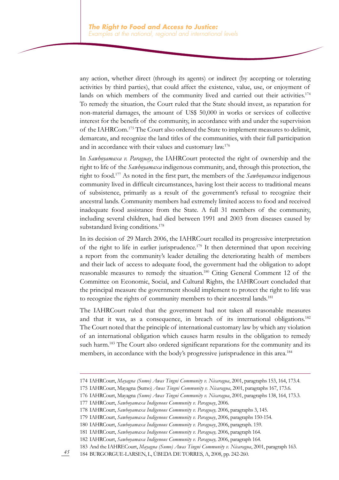any action, whether direct (through its agents) or indirect (by accepting or tolerating activities by third parties), that could affect the existence, value, use, or enjoyment of lands on which members of the community lived and carried out their activities.<sup>174</sup> To remedy the situation, the Court ruled that the State should invest, as reparation for non-material damages, the amount of US\$ 50,000 in works or services of collective interest for the benefit of the community, in accordance with and under the supervision of the IAHRCom.<sup>175</sup> The Court also ordered the State to implement measures to delimit, demarcate, and recognize the land titles of the communities, with their full participation and in accordance with their values and customary law.<sup>176</sup>

In *Sawhoyamaxa v. Paraguay*, the IAHRCourt protected the right of ownership and the right to life of the *Sawhoyamaxa* indigenous community, and, through this protection, the right to food.<sup>177</sup> As noted in the first part, the members of the *Sawhoyamaxa* indigenous community lived in difficult circumstances, having lost their access to traditional means of subsistence, primarily as a result of the government's refusal to recognize their ancestral lands. Community members had extremely limited access to food and received inadequate food assistance from the State. A full 31 members of the community, including several children, had died between 1991 and 2003 from diseases caused by substandard living conditions.<sup>178</sup>

In its decision of 29 March 2006, the IAHRCourt recalled its progressive interpretation of the right to life in earlier jurisprudence.<sup>179</sup> It then determined that upon receiving a report from the community's leader detailing the deteriorating health of members and their lack of access to adequate food, the government had the obligation to adopt reasonable measures to remedy the situation.180 Citing General Comment 12 of the Committee on Economic, Social, and Cultural Rights, the IAHRCourt concluded that the principal measure the government should implement to protect the right to life was to recognize the rights of community members to their ancestral lands.<sup>181</sup>

The IAHRCourt ruled that the government had not taken all reasonable measures and that it was, as a consequence, in breach of its international obligations.182 The Court noted that the principle of international customary law by which any violation of an international obligation which causes harm results in the obligation to remedy such harm.<sup>183</sup> The Court also ordered significant reparations for the community and its members, in accordance with the body's progressive jurisprudence in this area.<sup>184</sup>

<sup>174</sup> IAHRCourt, *Mayagna (Sumo) Awas Tingni Community v. Nicaragua*, 2001, paragraphs 153, 164, 173.4.

<sup>175</sup> IAHRCourt, Mayagna (Sumo) *Awas Tingni Community v. Nicaragua*, 2001, paragraphs 167, 173.6.

<sup>176</sup> IAHRCourt, Mayagna *(Sumo) Awas Tingni Community v. Nicaragua*, 2001, paragraphs 138, 164, 173.3.

<sup>177</sup> IAHRCourt, *Sawhoyamaxa Indigenous Community v. Paraguay*, 2006.

<sup>178</sup> IAHRCourt, *Sawhoyamaxa Indigenous Community v. Paraguay,* 2006, paragraphs 3, 145.

<sup>179</sup> IAHRCourt, *Sawhoyamaxa Indigenous Community v. Paraguay*, 2006, paragraphs 150-154.

<sup>180</sup> IAHRCourt, *Sawhoyamaxa Indigenous Community v. Paraguay*, 2006, paragraph. 159.

<sup>181</sup> IAHRCourt, *Sawhoyamaxa Indigenous Community v. Paraguay,* 2006, paragraph 164.

<sup>182</sup> IAHRCourt, *Sawhoyamaxa Indigenous Community v. Paraguay,* 2006, paragraph 164.

<sup>183</sup> And the IAHRECourt, *Mayagna (Sumo) Awas Tingni Community v. Nicaragua*, 2001, paragraph 163.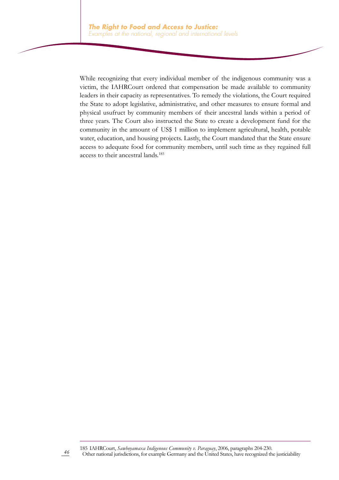While recognizing that every individual member of the indigenous community was a victim, the IAHRCourt ordered that compensation be made available to community leaders in their capacity as representatives. To remedy the violations, the Court required the State to adopt legislative, administrative, and other measures to ensure formal and physical usufruct by community members of their ancestral lands within a period of three years. The Court also instructed the State to create a development fund for the community in the amount of US\$ 1 million to implement agricultural, health, potable water, education, and housing projects. Lastly, the Court mandated that the State ensure access to adequate food for community members, until such time as they regained full access to their ancestral lands.185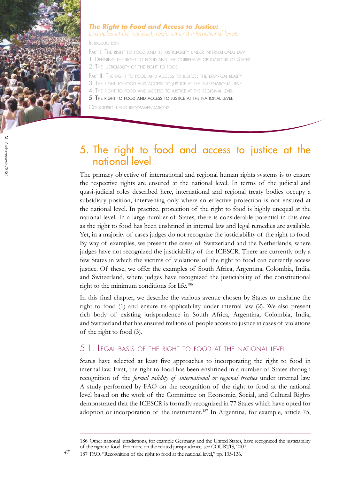

#### *The Right to Food and Access to Justice: Examples at the national, regional and international levels*

Introduction

PART I. THE RIGHT TO FOOD AND ITS JUSTICIABILITY UNDER INTERNATIONAL LAW 1. Defining the right to food and the correlative obligations of States 2. The justiciability of the right to food

PART II. THE RIGHT TO FOOD AND ACCESS TO JUSTICE: THE EMPIRICAL REALITY

- 3. The right to food and access to justice at the international level
- 4. The right to food and access to justice at the regional level

5. The right to food and access to justice at the national level

Conclusion and recommendations

## 5. The right to food and access to justice at the national level

The primary objective of international and regional human rights systems is to ensure the respective rights are ensured at the national level. In terms of the judicial and quasi-judicial roles described here, international and regional treaty bodies occupy a subsidiary position, intervening only where an effective protection is not ensured at the national level. In practice, protection of the right to food is highly unequal at the national level. In a large number of States, there is considerable potential in this area as the right to food has been enshrined in internal law and legal remedies are available. Yet, in a majority of cases judges do not recognize the justiciability of the right to food. By way of examples, we present the cases of Switzerland and the Netherlands, where judges have not recognized the justiciability of the ICESCR. There are currently only a few States in which the victims of violations of the right to food can currently access justice. Of these, we offer the examples of South Africa, Argentina, Colombia, India, and Switzerland, where judges have recognized the justiciability of the constitutional right to the minimum conditions for life.186

In this final chapter, we describe the various avenue chosen by States to enshrine the right to food (1) and ensure its applicability under internal law (2). We also present rich body of existing jurisprudence in South Africa, Argentina, Colombia, India, and Switzerland that has ensured millions of people access to justice in cases of violations of the right to food (3).

#### 5.1. Legal basis of the right to food at the national level

States have selected at least five approaches to incorporating the right to food in internal law. First, the right to food has been enshrined in a number of States through recognition of the *formal validity of international or regional treaties* under internal law. A study performed by FAO on the recognition of the right to food at the national level based on the work of the Committee on Economic, Social, and Cultural Rights demonstrated that the ICESCR is formally recognized in 77 States which have opted for adoption or incorporation of the instrument.<sup>187</sup> In Argentina, for example, article 75,

187 FAO, "Recognition of the right to food at the national level," pp. 135-136.

<sup>186</sup> Other national jurisdictions, for example Germany and the United States, have recognized the justiciability of the right to food. For more on the related jurisprudence, see COURTIS, 2007.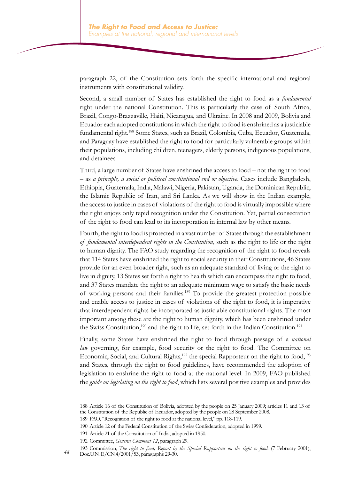paragraph 22, of the Constitution sets forth the specific international and regional instruments with constitutional validity.

Second, a small number of States has established the right to food as a *fundamental* right under the national Constitution. This is particularly the case of South Africa, Brazil, Congo-Brazzaville, Haiti, Nicaragua, and Ukraine. In 2008 and 2009, Bolivia and Ecuador each adopted constitutions in which the right to food is enshrined as a justiciable fundamental right.188 Some States, such as Brazil, Colombia, Cuba, Ecuador, Guatemala, and Paraguay have established the right to food for particularly vulnerable groups within their populations, including children, teenagers, elderly persons, indigenous populations, and detainees.

Third, a large number of States have enshrined the access to food – not the right to food – as *a principle, a social or political constitutional end or objective*. Cases include Bangladesh, Ethiopia, Guatemala, India, Malawi, Nigeria, Pakistan, Uganda, the Dominican Republic, the Islamic Republic of Iran, and Sri Lanka. As we will show in the Indian example, the access to justice in cases of violations of the right to food is virtually impossible where the right enjoys only tepid recognition under the Constitution. Yet, partial consecration of the right to food can lead to its incorporation in internal law by other means.

Fourth, the right to food is protected in a vast number of States through the establishment *of fundamental interdependent rights in the Constitution*, such as the right to life or the right to human dignity. The FAO study regarding the recognition of the right to food reveals that 114 States have enshrined the right to social security in their Constitutions, 46 States provide for an even broader right, such as an adequate standard of living or the right to live in dignity, 13 States set forth a right to health which can encompass the right to food, and 37 States mandate the right to an adequate minimum wage to satisfy the basic needs of working persons and their families.189 To provide the greatest protection possible and enable access to justice in cases of violations of the right to food, it is imperative that interdependent rights be incorporated as justiciable constitutional rights. The most important among these are the right to human dignity, which has been enshrined under the Swiss Constitution,<sup>190</sup> and the right to life, set forth in the Indian Constitution.<sup>191</sup>

Finally, some States have enshrined the right to food through passage of a *national law* governing, for example, food security or the right to food. The Committee on Economic, Social, and Cultural Rights,<sup>192</sup> the special Rapporteur on the right to food,<sup>193</sup> and States, through the right to food guidelines, have recommended the adoption of legislation to enshrine the right to food at the national level. In 2009, FAO published the *guide on legislating on the right to food*, which lists several positive examples and provides

<sup>188</sup> Article 16 of the Constitution of Bolivia, adopted by the people on 25 January 2009; articles 11 and 13 of the Constitution of the Republic of Ecuador, adopted by the people on 28 September 2008.

<sup>189</sup> FAO, "Recognition of the right to food at the national level," pp. 118-119.

<sup>190</sup> Article 12 of the Federal Constitution of the Swiss Confederation, adopted in 1999.

<sup>191</sup> Article 21 of the Constitution of India, adopted in 1950.

<sup>192</sup> Committee, *General Comment 12*, paragraph 29.

<sup>193</sup> Commission, *The right to food, Report by the Special Rapporteur on the right to food.* (7 February 2001), Doc.U.N. E/CN.4/2001/53, paragraphs 29-30.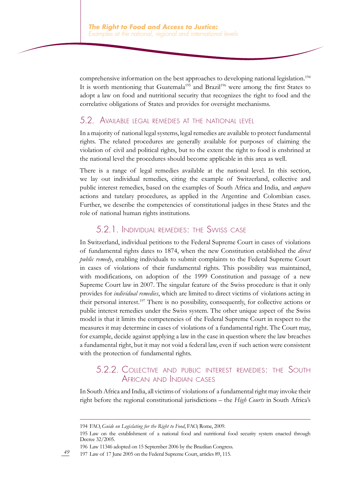comprehensive information on the best approaches to developing national legislation.<sup>194</sup> It is worth mentioning that Guatemala<sup>195</sup> and Brazil<sup>196</sup> were among the first States to adopt a law on food and nutritional security that recognizes the right to food and the correlative obligations of States and provides for oversight mechanisms.

#### 5.2. Available legal remedies at the national level

In a majority of national legal systems, legal remedies are available to protect fundamental rights. The related procedures are generally available for purposes of claiming the violation of civil and political rights, but to the extent the right to food is enshrined at the national level the procedures should become applicable in this area as well.

There is a range of legal remedies available at the national level. In this section, we lay out individual remedies, citing the example of Switzerland, collective and public interest remedies, based on the examples of South Africa and India, and *amparo* actions and tutelary procedures, as applied in the Argentine and Colombian cases. Further, we describe the competencies of constitutional judges in these States and the role of national human rights institutions.

#### 5.2.1. Individual remedies: the Swiss case

In Switzerland, individual petitions to the Federal Supreme Court in cases of violations of fundamental rights dates to 1874, when the new Constitution established the *direct public remedy*, enabling individuals to submit complaints to the Federal Supreme Court in cases of violations of their fundamental rights. This possibility was maintained, with modifications, on adoption of the 1999 Constitution and passage of a new Supreme Court law in 2007. The singular feature of the Swiss procedure is that it only provides for *individual remedies*, which are limited to direct victims of violations acting in their personal interest.<sup>197</sup> There is no possibility, consequently, for collective actions or public interest remedies under the Swiss system. The other unique aspect of the Swiss model is that it limits the competencies of the Federal Supreme Court in respect to the measures it may determine in cases of violations of a fundamental right. The Court may, for example, decide against applying a law in the case in question where the law breaches a fundamental right, but it may not void a federal law, even if such action were consistent with the protection of fundamental rights.

#### 5.2.2. Collective and public interest remedies: the South African and Indian cases

In South Africa and India, all victims of violations of a fundamental right may invoke their right before the regional constitutional jurisdictions – the *High Courts* in South Africa's

*49* 197 Law of 17 June 2005 on the Federal Supreme Court, articles 89, 115.

<sup>194</sup> FAO, *Guide on Legislating for the Right to Food*, FAO, Rome, 2009.

<sup>195</sup> Law on the establishment of a national food and nutritional food security system enacted through Decree 32/2005.

<sup>196</sup> Law 11346 adopted on 15 September 2006 by the Brazilian Congress.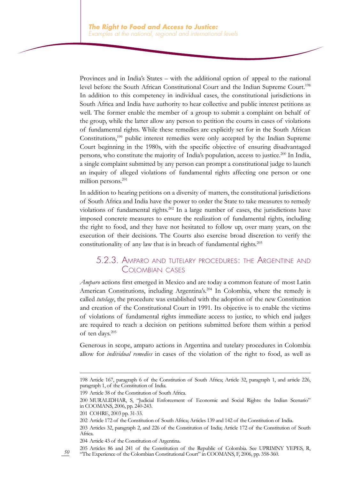Provinces and in India's States – with the additional option of appeal to the national level before the South African Constitutional Court and the Indian Supreme Court.198 In addition to this competency in individual cases, the constitutional jurisdictions in South Africa and India have authority to hear collective and public interest petitions as well. The former enable the member of a group to submit a complaint on behalf of the group, while the latter allow any person to petition the courts in cases of violations of fundamental rights. While these remedies are explicitly set for in the South African Constitutions,199 public interest remedies were only accepted by the Indian Supreme Court beginning in the 1980s, with the specific objective of ensuring disadvantaged persons, who constitute the majority of India's population, access to justice.200 In India, a single complaint submitted by any person can prompt a constitutional judge to launch an inquiry of alleged violations of fundamental rights affecting one person or one million persons.<sup>201</sup>

In addition to hearing petitions on a diversity of matters, the constitutional jurisdictions of South Africa and India have the power to order the State to take measures to remedy violations of fundamental rights.202 In a large number of cases, the jurisdictions have imposed concrete measures to ensure the realization of fundamental rights, including the right to food, and they have not hesitated to follow up, over many years, on the execution of their decisions. The Courts also exercise broad discretion to verify the constitutionality of any law that is in breach of fundamental rights.<sup>203</sup>

#### 5.2.3. Amparo and tutelary procedures: the Argentine and Colombian cases

*Amparo* actions first emerged in Mexico and are today a common feature of most Latin American Constitutions, including Argentina's.<sup>204</sup> In Colombia, where the remedy is called *tutelage*, the procedure was established with the adoption of the new Constitution and creation of the Constitutional Court in 1991. Its objective is to enable the victims of violations of fundamental rights immediate access to justice, to which end judges are required to reach a decision on petitions submitted before them within a period of ten days.205

Generous in scope, amparo actions in Argentina and tutelary procedures in Colombia allow for *individual remedies* in cases of the violation of the right to food, as well as

199 Article 38 of the Constitution of South Africa.

<sup>198</sup> Article 167, paragraph 6 of the Constitution of South Africa; Article 32, paragraph 1, and article 226, paragraph 1, of the Constitution of India.

<sup>200</sup> MURALIDHAR, S, "Judicial Enforcement of Economic and Social Rights: the Indian Scenario" in COOMANS, 2006, pp. 240-243.

<sup>201</sup> COHRE, 2003 pp. 31-33.

<sup>202</sup> Article 172 of the Constitution of South Africa; Articles 139 and 142 of the Constitution of India.

<sup>203</sup> Articles 32, paragraph 2, and 226 of the Constitution of India; Article 172 of the Constitution of South Africa.

<sup>204</sup> Article 43 of the Constitution of Argentina.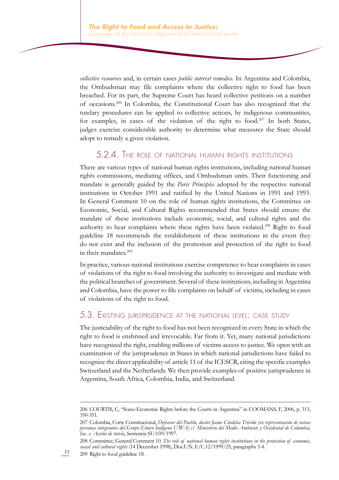*collective resources* and, in certain cases *public interest remedies*. In Argentina and Colombia, the Ombudsman may file complaints where the collective right to food has been breached. For its part, the Supreme Court has heard collective petitions on a number of occasions.206 In Colombia, the Constitutional Court has also recognized that the tutelary procedures can be applied to collective actions, by indigenous communities, for examples, in cases of the violation of the right to food.<sup>207</sup> In both States, judges exercise considerable authority to determine what measures the State should adopt to remedy a given violation.

#### 5.2.4. The role of national human rights institutions

There are various types of national human rights institutions, including national human rights commissions, mediating offices, and Ombudsman units. Their functioning and mandate is generally guided by the *Paris Principles* adopted by the respective national institutions in October 1991 and ratified by the United Nations in 1991 and 1993. In General Comment 10 on the role of human rights institutions, the Committee on Economic, Social, and Cultural Rights recommended that States should ensure the mandate of these institutions include economic, social, and cultural rights and the authority to hear complaints where these rights have been violated.208 Right to food guideline 18 recommends the establishment of these institutions in the event they do not exist and the inclusion of the promotion and protection of the right to food in their mandates.209

In practice, various national institutions exercise competence to hear complaints in cases of violations of the right to food involving the authority to investigate and mediate with the political branches of government. Several of these institutions, including in Argentina and Colombia, have the power to file complaints on behalf of victims, including in cases of violations of the right to food.

#### 5.3. Existing jurisprudence at the national level: case study

The justiciability of the right to food has not been recognized in every State in which the right to food is enshrined and irrevocable. Far from it. Yet, many national jurisdictions have recognized the right, enabling millions of victims access to justice. We open with an examination of the jurisprudence in States in which national jurisdictions have failed to recognize the direct applicability of article 11 of the ICESCR, citing the specific examples Switzerland and the Netherlands. We then provide examples of positive jurisprudence in Argentina, South Africa, Colombia, India, and Switzerland.

<sup>206</sup> COURTIS, C, "Socio-Economic Rights before the Courts in Argentina" in COOMANS, F, 2006, p. 313, 350-351.

<sup>207</sup> Colombia, Corte Constitucional, *Defensor del Pueblo, doctor Jaime Córdoba Triviño (en representación de varias personas integrantes del Grupo Etnico Indígena U'WA) c/ Ministerio del Medio Ambiente y Occidental de Colombia, Inc. s. Acción de tutela*, Sentencia SU-039/1997.

<sup>208</sup> Committee, General Comment 10. *The role of national human rights institutions in the protection of economic, social and cultural rights* (14 December 1998), Doc.U.N. E/C.12/1999/25, paragraphs 3-4.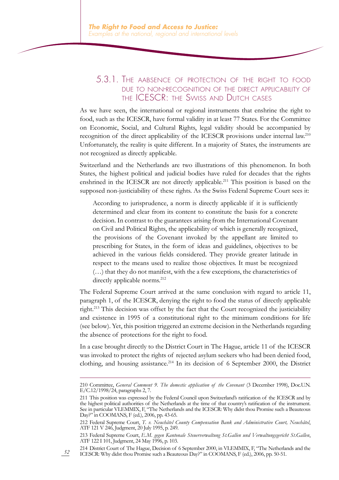#### 5.3.1. The aabsence of protection of the right to food due to non-recognition of the direct applicability of the ICESCR: the Swiss and Dutch cases

As we have seen, the international or regional instruments that enshrine the right to food, such as the ICESCR, have formal validity in at least 77 States. For the Committee on Economic, Social, and Cultural Rights, legal validity should be accompanied by recognition of the direct applicability of the ICESCR provisions under internal law.<sup>210</sup> Unfortunately, the reality is quite different. In a majority of States, the instruments are not recognized as directly applicable.

Switzerland and the Netherlands are two illustrations of this phenomenon. In both States, the highest political and judicial bodies have ruled for decades that the rights enshrined in the ICESCR are not directly applicable.<sup>211</sup> This position is based on the supposed non-justiciability of these rights. As the Swiss Federal Supreme Court sees it:

According to jurisprudence, a norm is directly applicable if it is sufficiently determined and clear from its content to constitute the basis for a concrete decision. In contrast to the guarantees arising from the International Covenant on Civil and Political Rights, the applicability of which is generally recognized, the provisions of the Covenant invoked by the appellant are limited to prescribing for States, in the form of ideas and guidelines, objectives to be achieved in the various fields considered. They provide greater latitude in respect to the means used to realize those objectives. It must be recognized (…) that they do not manifest, with the a few exceptions, the characteristics of directly applicable norms.<sup>212</sup>

The Federal Supreme Court arrived at the same conclusion with regard to article 11, paragraph 1, of the ICESCR, denying the right to food the status of directly applicable right.213 This decision was offset by the fact that the Court recognized the justiciability and existence in 1995 of a constitutional right to the minimum conditions for life (see below). Yet, this position triggered an extreme decision in the Netherlands regarding the absence of protections for the right to food.

In a case brought directly to the District Court in The Hague, article 11 of the ICESCR was invoked to protect the rights of rejected asylum seekers who had been denied food, clothing, and housing assistance.<sup>214</sup> In its decision of 6 September 2000, the District

<sup>210</sup> Committee, *General Comment 9. The domestic application of the Covenant* (3 December 1998), Doc.U.N. E/C.12/1998/24, paragraphs 2, 7.

<sup>211</sup> This position was expressed by the Federal Council upon Switzerland's ratification of the ICESCR and by the highest political authorities of the Netherlands at the time of that country's ratification of the instrument. See in particular VLEMMIX, F, "The Netherlands and the ICESCR: Why didst thou Promise such a Beauteous Day?" in COOMANS, F (ed.), 2006, pp. 43-65.

<sup>212</sup> Federal Supreme Court, *T. v. Neuchâtel County Compensation Bank and Administrative Court, Neuchâtel*, ATF 121 V 246, Judgment, 20 July 1995, p. 249.

<sup>213</sup> Federal Supreme Court, *E.M. gegen Kantonale Steuerverwaltung St.Gallen und Verwaltungsgericht St.Gallen*, ATF 122 I 101, Judgment, 24 May 1996, p. 103.

<sup>214</sup> District Court of The Hague, Decision of 6 September 2000, in VLEMMIX, F, "The Netherlands and the ICESCR: Why didst thou Promise such a Beauteous Day?" in COOMANS, F (ed.), 2006, pp. 50-51.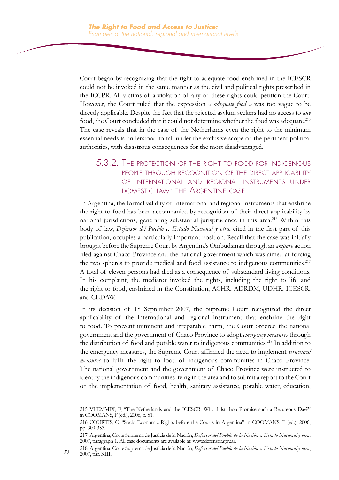Court began by recognizing that the right to adequate food enshrined in the ICESCR could not be invoked in the same manner as the civil and political rights prescribed in the ICCPR. All victims of a violation of any of these rights could petition the Court. However, the Court ruled that the expression *« adequate food »* was too vague to be directly applicable. Despite the fact that the rejected asylum seekers had no access to *any* food, the Court concluded that it could not determine whether the food was adequate.<sup>215</sup> The case reveals that in the case of the Netherlands even the right to the minimum essential needs is understood to fall under the exclusive scope of the pertinent political authorities, with disastrous consequences for the most disadvantaged.

#### 5.3.2. The protection of the right to food for indigenous people through recognition of the direct applicability of international and regional instruments under domestic law: the Argentine case

In Argentina, the formal validity of international and regional instruments that enshrine the right to food has been accompanied by recognition of their direct applicability by national jurisdictions, generating substantial jurisprudence in this area.<sup>216</sup> Within this body of law, *Defensor del Pueblo c. Estado Nacional y otra*, cited in the first part of this publication, occupies a particularly important position. Recall that the case was initially brought before the Supreme Court by Argentina's Ombudsman through an *amparo* action filed against Chaco Province and the national government which was aimed at forcing the two spheres to provide medical and food assistance to indigenous communities.<sup>217</sup> A total of eleven persons had died as a consequence of substandard living conditions. In his complaint, the mediator invoked the rights, including the right to life and the right to food, enshrined in the Constitution, ACHR, ADRDM, UDHR, ICESCR, and CEDAW.

In its decision of 18 September 2007, the Supreme Court recognized the direct applicability of the international and regional instrument that enshrine the right to food. To prevent imminent and irreparable harm, the Court ordered the national government and the government of Chaco Province to adopt *emergency measures* through the distribution of food and potable water to indigenous communities.<sup>218</sup> In addition to the emergency measures, the Supreme Court affirmed the need to implement *structural measures* to fulfil the right to food of indigenous communities in Chaco Province. The national government and the government of Chaco Province were instructed to identify the indigenous communities living in the area and to submit a report to the Court on the implementation of food, health, sanitary assistance, potable water, education,

<sup>215</sup> VLEMMIX, F, "The Netherlands and the ICESCR: Why didst thou Promise such a Beauteous Day?" in COOMANS, F (ed.), 2006, p. 51.

<sup>216</sup> COURTIS, C, "Socio-Economic Rights before the Courts in Argentina" in COOMANS, F (ed.), 2006, pp. 309-353.

<sup>217</sup> Argentina, Corte Suprema de Justicia de la Nación, *Defensor del Pueblo de la Nación c. Estado Nacional y otra*, 2007, paragraph 1. All case documents are available at: www.defensor.gov.ar.

<sup>218</sup> Argentina, Corte Suprema de Justicia de la Nación, *Defensor del Pueblo de la Nación c. Estado Nacional y otra*, 2007, par. 3.III.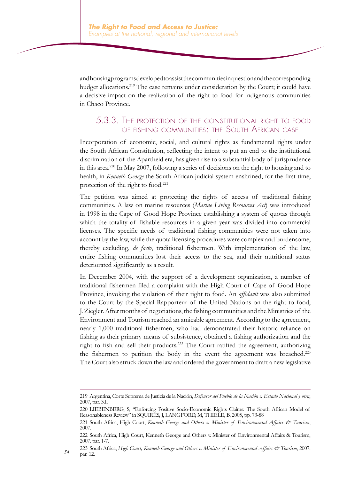and housing programs developed to assist the communities in question and the corresponding budget allocations.219 The case remains under consideration by the Court; it could have a decisive impact on the realization of the right to food for indigenous communities in Chaco Province.

#### 5.3.3. The protection of the constitutional right to food of fishing communities: the South African case

Incorporation of economic, social, and cultural rights as fundamental rights under the South African Constitution, reflecting the intent to put an end to the institutional discrimination of the Apartheid era, has given rise to a substantial body of jurisprudence in this area.220 In May 2007, following a series of decisions on the right to housing and to health, in *Kenneth George* the South African judicial system enshrined, for the first time, protection of the right to food.<sup>221</sup>

The petition was aimed at protecting the rights of access of traditional fishing communities. A law on marine resources (*Marine Living Resources Act*) was introduced in 1998 in the Cape of Good Hope Province establishing a system of quotas through which the totality of fishable resources in a given year was divided into commercial licenses. The specific needs of traditional fishing communities were not taken into account by the law, while the quota licensing procedures were complex and burdensome, thereby excluding, *de facto*, traditional fishermen. With implementation of the law, entire fishing communities lost their access to the sea, and their nutritional status deteriorated significantly as a result.

In December 2004, with the support of a development organization, a number of traditional fishermen filed a complaint with the High Court of Cape of Good Hope Province, invoking the violation of their right to food. An *affidavit* was also submitted to the Court by the Special Rapporteur of the United Nations on the right to food, J. Ziegler. After months of negotiations, the fishing communities and the Ministries of the Environment and Tourism reached an amicable agreement. According to the agreement, nearly 1,000 traditional fishermen, who had demonstrated their historic reliance on fishing as their primary means of subsistence, obtained a fishing authorization and the right to fish and sell their products.222 The Court ratified the agreement, authorizing the fishermen to petition the body in the event the agreement was breached.<sup>223</sup> The Court also struck down the law and ordered the government to draft a new legislative

<sup>219</sup> Argentina, Corte Suprema de Justicia de la Nación, *Defensor del Pueblo de la Nación c. Estado Nacional y otra*, 2007, par. 3.I.

<sup>220</sup> LIEBENBERG, S, "Enforcing Positive Socio-Economic Rights Claims: The South African Model of Reasonableness Review" in SQUIRES, J, LANGFORD, M, THIELE, B, 2005, pp. 73-88

<sup>221</sup> South Africa, High Court, *Kenneth George and Others v. Minister of Environmental Affairs & Tourism*, 2007.

<sup>222</sup> South Africa, High Court, Kenneth George and Others v. Minister of Environmental Affairs & Tourism, 2007. par. 1-7.

<sup>223</sup> South Africa, *High Court, Kenneth George and Others v. Minister of Environmental Affairs & Tourism*, 2007. par. 12.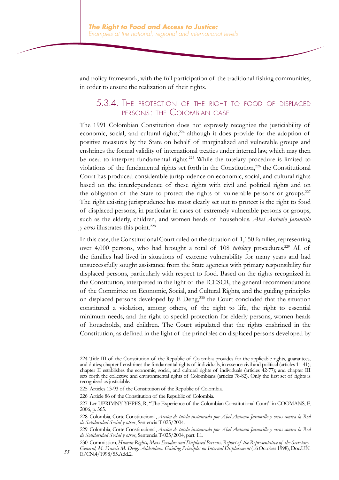and policy framework, with the full participation of the traditional fishing communities, in order to ensure the realization of their rights.

#### 5.3.4. The protection of the right to food of displaced persons: the Colombian case

The 1991 Colombian Constitution does not expressly recognize the justiciability of economic, social, and cultural rights,<sup>224</sup> although it does provide for the adoption of positive measures by the State on behalf of marginalized and vulnerable groups and enshrines the formal validity of international treaties under internal law, which may then be used to interpret fundamental rights.<sup>225</sup> While the tutelary procedure is limited to violations of the fundamental rights set forth in the Constitution,<sup>226</sup> the Constitutional Court has produced considerable jurisprudence on economic, social, and cultural rights based on the interdependence of these rights with civil and political rights and on the obligation of the State to protect the rights of vulnerable persons or groups.<sup>227</sup> The right existing jurisprudence has most clearly set out to protect is the right to food of displaced persons, in particular in cases of extremely vulnerable persons or groups, such as the elderly, children, and women heads of households. *Abel Antonio Jaramillo y otros* illustrates this point.<sup>228</sup>

In this case, the Constitutional Court ruled on the situation of 1,150 families, representing over 4,000 persons, who had brought a total of 108 *tutelary* procedures.<sup>229</sup> All of the families had lived in situations of extreme vulnerability for many years and had unsuccessfully sought assistance from the State agencies with primary responsibility for displaced persons, particularly with respect to food. Based on the rights recognized in the Constitution, interpreted in the light of the ICESCR, the general recommendations of the Committee on Economic, Social, and Cultural Rights, and the guiding principles on displaced persons developed by F. Deng,<sup>230</sup> the Court concluded that the situation constituted a violation, among others, of the right to life, the right to essential minimum needs, and the right to special protection for elderly persons, women heads of households, and children. The Court stipulated that the rights enshrined in the Constitution, as defined in the light of the principles on displaced persons developed by

<sup>224</sup> Title III of the Constitution of the Republic of Colombia provides for the applicable rights, guarantees, and duties; chapter I enshrines the fundamental rights of individuals, in essence civil and political (articles 11-41); chapter II establishes the economic, social, and cultural rights of individuals (articles 42-77); and chapter III sets forth the collective and environmental rights of Colombians (articles 78-82). Only the first set of rights is recognized as justiciable.

<sup>225</sup> Articles 13-93 of the Constitution of the Republic of Colombia.

<sup>226</sup> Article 86 of the Constitution of the Republic of Colombia.

<sup>227</sup> Ler UPRIMNY YEPES, R, "The Experience of the Colombian Constitutional Court" in COOMANS, F, 2006, p. 365.

<sup>228</sup> Colombia, Corte Constitucional, *Acción de tutela instaurada por Abel Antonio Jaramillo y otros contra la Red de Solidaridad Social y otros*, Sentencia T-025/2004.

<sup>229</sup> Colombia, Corte Constitucional, *Acción de tutela instaurada por Abel Antonio Jaramillo y otros contra la Red de Solidaridad Social y otros*, Sentencia T-025/2004, part. I.1.

<sup>230</sup> Commission, *Human Rights, Mass Exodus and Displaced Persons, Report of the Representative of the Secretary-General, M. Francis M. Deng. Addendum. Guiding Principles on Internal Displacement* (16 October 1998), Doc.U.N. E/CN.4/1998/55.Add.2.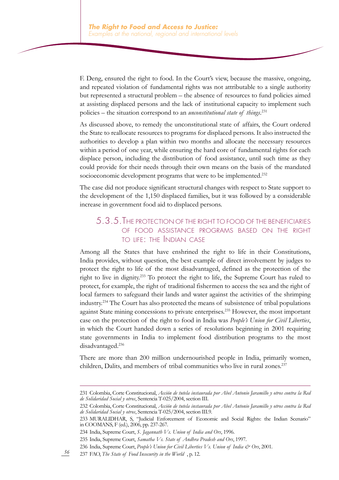F. Deng, ensured the right to food. In the Court's view, because the massive, ongoing, and repeated violation of fundamental rights was not attributable to a single authority but represented a structural problem – the absence of resources to fund policies aimed at assisting displaced persons and the lack of institutional capacity to implement such policies – the situation correspond to an *unconstitutional state of things*. 231

As discussed above, to remedy the unconstitutional state of affairs, the Court ordered the State to reallocate resources to programs for displaced persons. It also instructed the authorities to develop a plan within two months and allocate the necessary resources within a period of one year, while ensuring the hard core of fundamental rights for each displace person, including the distribution of food assistance, until such time as they could provide for their needs through their own means on the basis of the mandated socioeconomic development programs that were to be implemented.<sup>232</sup>

The case did not produce significant structural changes with respect to State support to the development of the 1,150 displaced families, but it was followed by a considerable increase in government food aid to displaced persons.

#### 5.3.5.The protection of the right to food of the beneficiaries of food assistance programs based on the right to life: the Indian case

Among all the States that have enshrined the right to life in their Constitutions, India provides, without question, the best example of direct involvement by judges to protect the right to life of the most disadvantaged, defined as the protection of the right to live in dignity.233 To protect the right to life, the Supreme Court has ruled to protect, for example, the right of traditional fishermen to access the sea and the right of local farmers to safeguard their lands and water against the activities of the shrimping industry.<sup>234</sup> The Court has also protected the means of subsistence of tribal populations against State mining concessions to private enterprises.<sup>235</sup> However, the most important case on the protection of the right to food in India was *People's Union for Civil Liberties*, in which the Court handed down a series of resolutions beginning in 2001 requiring state governments in India to implement food distribution programs to the most disadvantaged.<sup>236</sup>

There are more than 200 million undernourished people in India, primarily women, children, Dalits, and members of tribal communities who live in rural zones.<sup>237</sup>

<sup>231</sup> Colombia, Corte Constitucional, *Acción de tutela instaurada por Abel Antonio Jaramillo y otros contra la Red de Solidaridad Social y otros*, Sentencia T-025/2004, section III.

<sup>232</sup> Colombia, Corte Constitucional, *Acción de tutela instaurada por Abel Antonio Jaramillo y otros contra la Red de Solidaridad Social y otros*, Sentencia T-025/2004, section III.9.

<sup>233</sup> MURALIDHAR, S, "Judicial Enforcement of Economic and Social Rights: the Indian Scenario" in COOMANS, F (ed.), 2006, pp. 237-267.

<sup>234</sup> India, Supreme Court, *S. Jagannath Vs. Union of India and Ors*, 1996.

<sup>235</sup> India, Supreme Court, *Samatha Vs. State of Andhra Pradesh and Ors*, 1997.

<sup>236</sup> India, Supreme Court, *People's Union for Civil Liberties Vs. Union of India & Ors*, 2001.

*<sup>56</sup>* 237 FAO, *The State of Food Insecurity in the World* , p. 12.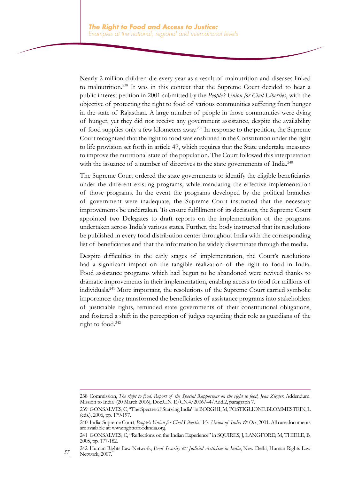Nearly 2 million children die every year as a result of malnutrition and diseases linked to malnutrition.238 It was in this context that the Supreme Court decided to hear a public interest petition in 2001 submitted by the *People's Union for Civil Liberties*, with the objective of protecting the right to food of various communities suffering from hunger in the state of Rajasthan. A large number of people in those communities were dying of hunger, yet they did not receive any government assistance, despite the availability of food supplies only a few kilometers away.239 In response to the petition, the Supreme Court recognized that the right to food was enshrined in the Constitution under the right to life provision set forth in article 47, which requires that the State undertake measures to improve the nutritional state of the population. The Court followed this interpretation with the issuance of a number of directives to the state governments of India.<sup>240</sup>

The Supreme Court ordered the state governments to identify the eligible beneficiaries under the different existing programs, while mandating the effective implementation of those programs. In the event the programs developed by the political branches of government were inadequate, the Supreme Court instructed that the necessary improvements be undertaken. To ensure fulfillment of its decisions, the Supreme Court appointed two Delegates to draft reports on the implementation of the programs undertaken across India's various states. Further, the body instructed that its resolutions be published in every food distribution center throughout India with the corresponding list of beneficiaries and that the information be widely disseminate through the media.

Despite difficulties in the early stages of implementation, the Court's resolutions had a significant impact on the tangible realization of the right to food in India. Food assistance programs which had begun to be abandoned were revived thanks to dramatic improvements in their implementation, enabling access to food for millions of individuals.<sup>241</sup> More important, the resolutions of the Supreme Court carried symbolic importance: they transformed the beneficiaries of assistance programs into stakeholders of justiciable rights, reminded state governments of their constitutional obligations, and fostered a shift in the perception of judges regarding their role as guardians of the right to food.<sup>242</sup>

<sup>238</sup> Commission, *The right to food. Report of the Special Rapporteur on the right to food, Jean Ziegler*. Addendum. Mission to India (20 March 2006), Doc.U.N. E/CN.4/2006/44/Add.2, paragraph 7.

<sup>239</sup> GONSALVES, C, "The Spectre of Starving India" in BORGHI, M, POSTIGLIONE BLOMMESTEIN, L (eds.), 2006, pp. 179-197.

<sup>240</sup> India, Supreme Court, *People's Union for Civil Liberties Vs. Union of India & Ors*, 2001. All case documents are available at: www.righttofoodindia.org.

<sup>241</sup> GONSALVES, C, "Reflections on the Indian Experience" in SQUIRES, J, LANGFORD, M, THIELE, B, 2005, pp. 177-182.

<sup>242</sup> Human Rights Law Network, *Food Security & Judicial Activism in India*, New Delhi, Human Rights Law Network, 2007.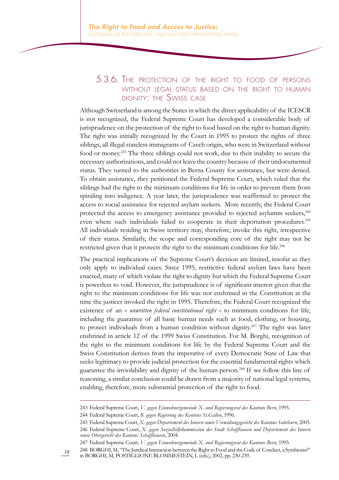#### 5.3.6. The protection of the right to food of persons WITHOUT LEGAL STATUS BASED ON THE RIGHT TO HUMAN dignity: the Swiss case

Although Switzerland is among the States in which the direct applicability of the ICESCR is not recognized, the Federal Supreme Court has developed a considerable body of jurisprudence on the protection of the right to food based on the right to human dignity. The right was initially recognized by the Court in 1995 to protect the rights of three siblings, all illegal stateless immigrants of Czech origin, who were in Switzerland without food or money.<sup>243</sup> The three siblings could not work, due to their inability to secure the necessary authorizations, and could not leave the country because of their undocumented status. They turned to the authorities in Berna County for assistance, but were denied. To obtain assistance, they petitioned the Federal Supreme Court, which ruled that the siblings had the right to the minimum conditions for life in order to prevent them from spiraling into indigence. A year later, the jurisprudence was reaffirmed to protect the access to social assistance for rejected asylum seekers. More recently, the Federal Court protected the access to emergency assistance provided to rejected asylumm seekers,<sup>244</sup> even where such individuals failed to cooperate in their deportation procedures.<sup>245</sup> All individuals residing in Swiss territory may, therefore, invoke this right, irrespective of their status. Similarly, the scope and corresponding core of the right may not be restricted given that it protects the right to the minimum conditions for life.<sup>246</sup>

The practical implications of the Supreme Court's decision are limited, insofar as they only apply to individual cases. Since 1995, restrictive federal asylum laws have been enacted, many of which violate the right to dignity but which the Federal Supreme Court is powerless to void. However, the jurisprudence is of significant interest given that the right to the minimum conditions for life was not enshrined in the Constitution at the time the justices invoked the right in 1995. Therefore, the Federal Court recognized the existence of an *« unwritten federal constitutional right »* to minimum conditions for life, including the guarantee of all basic human needs such as food, clothing, or housing, to protect individuals from a human condition without dignity.<sup>247</sup> The right was later enshrined in article 12 of the 1999 Swiss Constitution. For M. Borghi, recognition of the right to the minimum conditions for life by the Federal Supreme Court and the Swiss Constitution derives from the imperative of every Democratic State of Law that seeks legitimacy to provide judicial protection for the essential fundamental rights which guarantee the inviolability and dignity of the human person.<sup>248</sup> If we follow this line of reasoning, a similar conclusion could be drawn from a majority of national legal systems, enabling, therefore, more substantial protection of the right to food.

247 Federal Supreme Court, *V. gegen Einwohnergemeinde X. und Regierungsrat des Kantons Bern*, 1995.

<sup>243</sup> Federal Supreme Court, *V. gegen Einwohnergemeinde X. und Regierungsrat des Kantons Bern*, 1995.

<sup>244</sup> Federal Supreme Court, *B. gegen Regierung des Kantons St.Gallen*, 1996.

<sup>245</sup> Federal Supreme Court, *X. gegen Departement des Innern sowie Verwaltungsgericht des Kantons Solothurn*, 2005. 246 Federal Supreme Court, *X. gegen Sozialhilfekommission der Stadt Schaffhausen und Departement des Innern sowie Obergericht des Kantons Schaffhausen*, 2004.

*<sup>58</sup>* 248 BORGHI, M, "The Juridical Interaction between the Right to Food and the Code of Conduct, a Symbiosis?" in BORGHI, M, POSTIGLIONE BLOMMESTEIN, L (eds.), 2002, pp. 230-239.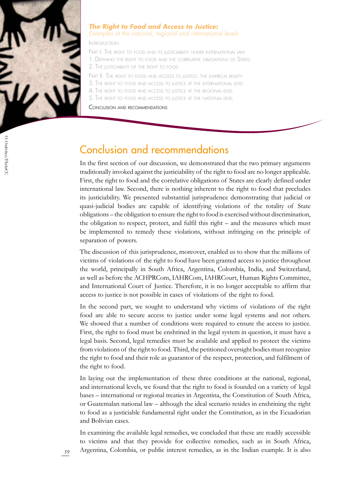

#### *The Right to Food and Access to Justice: Examples at the national, regional and international levels*

Introduction

PART I. THE RIGHT TO FOOD AND ITS JUSTICIABILITY UNDER INTERNATIONAL LAW 1. Defining the right to food and the correlative obligations of States 2. The justiciability of the right to food

PART II. THE RIGHT TO FOOD AND ACCESS TO JUSTICE: THE EMPIRICAL REALITY

3. The right to food and access to justice at the international level

- 4. The right to food and access to justice at the regional level
- 5. The right to food and access to justice at the national level

Conclusion and recommendations

## Conclusion and recommendations

In the first section of our discussion, we demonstrated that the two primary arguments traditionally invoked against the justiciability of the right to food are no longer applicable. First, the right to food and the correlative obligations of States are clearly defined under international law. Second, there is nothing inherent to the right to food that precludes its justiciability. We presented substantial jurisprudence demonstrating that judicial or quasi-judicial bodies are capable of identifying violations of the totality of State obligations – the obligation to ensure the right to food is exercised without discrimination, the obligation to respect, protect, and fulfil this right – and the measures which must be implemented to remedy these violations, without infringing on the principle of separation of powers.

The discussion of this jurisprudence, moreover, enabled us to show that the millions of victims of violations of the right to food have been granted access to justice throughout the world, principally in South Africa, Argentina, Colombia, India, and Switzerland, as well as before the ACHPRCom, IAHRCom, IAHRCourt, Human Rights Committee, and International Court of Justice. Therefore, it is no longer acceptable to affirm that access to justice is not possible in cases of violations of the right to food.

In the second part, we sought to understand why victims of violations of the right food are able to secure access to justice under some legal systems and not others. We showed that a number of conditions were required to ensure the access to justice. First, the right to food must be enshrined in the legal system in question, it must have a legal basis. Second, legal remedies must be available and applied to protect the victims from violations of the right to food. Third, the petitioned oversight bodies must recognize the right to food and their role as guarantor of the respect, protection, and fulfilment of the right to food.

In laying out the implementation of these three conditions at the national, regional, and international levels, we found that the right to food is founded on a variety of legal bases – international or regional treaties in Argentina, the Constitution of South Africa, or Guatemalan national law – although the ideal scenario resides in enshrining the right to food as a justiciable fundamental right under the Constitution, as in the Ecuadorian and Bolivian cases.

In examining the available legal remedies, we concluded that these are readily accessible to victims and that they provide for collective remedies, such as in South Africa, Argentina, Colombia, or public interest remedies, as in the Indian example. It is also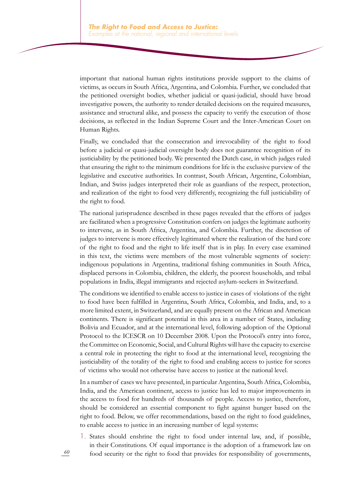important that national human rights institutions provide support to the claims of victims, as occurs in South Africa, Argentina, and Colombia. Further, we concluded that the petitioned oversight bodies, whether judicial or quasi-judicial, should have broad investigative powers, the authority to render detailed decisions on the required measures, assistance and structural alike, and possess the capacity to verify the execution of those decisions, as reflected in the Indian Supreme Court and the Inter-American Court on Human Rights.

Finally, we concluded that the consecration and irrevocability of the right to food before a judicial or quasi-judicial oversight body does not guarantee recognition of its justiciability by the petitioned body. We presented the Dutch case, in which judges ruled that ensuring the right to the minimum conditions for life is the exclusive purview of the legislative and executive authorities. In contrast, South African, Argentine, Colombian, Indian, and Swiss judges interpreted their role as guardians of the respect, protection, and realization of the right to food very differently, recognizing the full justiciability of the right to food.

The national jurisprudence described in these pages revealed that the efforts of judges are facilitated when a progressive Constitution confers on judges the legitimate authority to intervene, as in South Africa, Argentina, and Colombia. Further, the discretion of judges to intervene is more effectively legitimated where the realization of the hard core of the right to food and the right to life itself that is in play. In every case examined in this text, the victims were members of the most vulnerable segments of society: indigenous populations in Argentina, traditional fishing communities in South Africa, displaced persons in Colombia, children, the elderly, the poorest households, and tribal populations in India, illegal immigrants and rejected asylum-seekers in Switzerland.

The conditions we identified to enable access to justice in cases of violations of the right to food have been fulfilled in Argentina, South Africa, Colombia, and India, and, to a more limited extent, in Switzerland, and are equally present on the African and American continents. There is significant potential in this area in a number of States, including Bolivia and Ecuador, and at the international level, following adoption of the Optional Protocol to the ICESCR on 10 December 2008. Upon the Protocol's entry into force, the Committee on Economic, Social, and Cultural Rights will have the capacity to exercise a central role in protecting the right to food at the international level, recognizing the justiciability of the totality of the right to food and enabling access to justice for scores of victims who would not otherwise have access to justice at the national level.

In a number of cases we have presented, in particular Argentina, South Africa, Colombia, India, and the American continent, access to justice has led to major improvements in the access to food for hundreds of thousands of people. Access to justice, therefore, should be considered an essential component to fight against hunger based on the right to food. Below, we offer recommendations, based on the right to food guidelines, to enable access to justice in an increasing number of legal systems:

1. States should enshrine the right to food under internal law, and, if possible, in their Constitutions. Of equal importance is the adoption of a framework law on food security or the right to food that provides for responsibility of governments,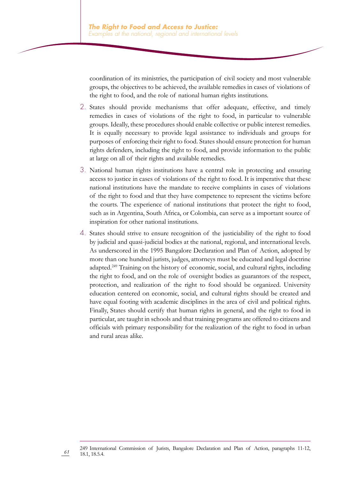coordination of its ministries, the participation of civil society and most vulnerable groups, the objectives to be achieved, the available remedies in cases of violations of the right to food, and the role of national human rights institutions.

- 2. States should provide mechanisms that offer adequate, effective, and timely remedies in cases of violations of the right to food, in particular to vulnerable groups. Ideally, these procedures should enable collective or public interest remedies. It is equally necessary to provide legal assistance to individuals and groups for purposes of enforcing their right to food. States should ensure protection for human rights defenders, including the right to food, and provide information to the public at large on all of their rights and available remedies.
- 3. National human rights institutions have a central role in protecting and ensuring access to justice in cases of violations of the right to food. It is imperative that these national institutions have the mandate to receive complaints in cases of violations of the right to food and that they have competence to represent the victims before the courts. The experience of national institutions that protect the right to food, such as in Argentina, South Africa, or Colombia, can serve as a important source of inspiration for other national institutions.
- 4. States should strive to ensure recognition of the justiciability of the right to food by judicial and quasi-judicial bodies at the national, regional, and international levels. As underscored in the 1995 Bangalore Declaration and Plan of Action, adopted by more than one hundred jurists, judges, attorneys must be educated and legal doctrine adapted.<sup>249</sup> Training on the history of economic, social, and cultural rights, including the right to food, and on the role of oversight bodies as guarantors of the respect, protection, and realization of the right to food should be organized. University education centered on economic, social, and cultural rights should be created and have equal footing with academic disciplines in the area of civil and political rights. Finally, States should certify that human rights in general, and the right to food in particular, are taught in schools and that training programs are offered to citizens and officials with primary responsibility for the realization of the right to food in urban and rural areas alike.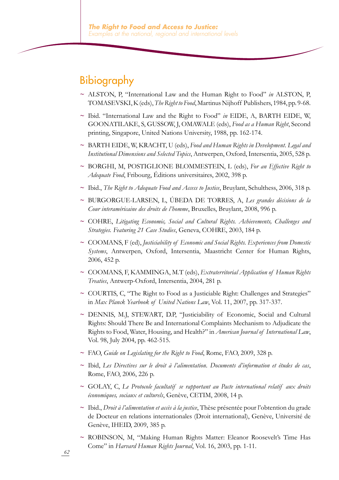## Bibiography

- **~** ALSTON, P, "International Law and the Human Right to Food" *in* ALSTON, P, TOMASEVSKI, K (eds), *The Right to Food*, Martinus Nijhoff Publishers, 1984, pp. 9-68.
- **~** Ibid. "International Law and the Right to Food" *in* EIDE, A, BARTH EIDE, W, GOONATILAKE, S, GUSSOW, J, OMAWALE (eds), *Food as a Human Right*, Second printing, Singapore, United Nations University, 1988, pp. 162-174.
- **~** BARTH EIDE, W, KRACHT, U (eds), *Food and Human Rights in Development. Legal and Institutional Dimensions and Selected Topics*, Antwerpen, Oxford, Intersentia, 2005, 528 p.
- **~** BORGHI, M, POSTIGLIONE BLOMMESTEIN, L (eds), *For an Effective Right to Adequate Food*, Fribourg, Éditions universitaires, 2002, 398 p.
- **~** Ibid., *The Right to Adequate Food and Access to Justice*, Bruylant, Schulthess, 2006, 318 p.
- **~** BURGORGUE-LARSEN, L, ÚBEDA DE TORRES, A, *Les grandes décisions de la Cour interaméricaine des droits de l'homme*, Bruxelles, Bruylant, 2008, 996 p.
- **~** COHRE, *Litigating Economic, Social and Cultural Rights. Achievements, Challenges and Strategies. Featuring 21 Case Studies*, Geneva, COHRE, 2003, 184 p.
- **~** COOMANS, F (ed), *Justiciability of Economic and Social Rights. Experiences from Domestic Systems*, Antwerpen, Oxford, Intersentia, Maastricht Center for Human Rights, 2006, 452 p.
- **~** COOMANS, F, KAMMINGA, M.T (eds), *Extraterritorial Application of Human Rights Treaties*, Antwerp-Oxford, Intersentia, 2004, 281 p.
- **~** COURTIS, C, "The Right to Food as a Justiciable Right: Challenges and Strategies" in *Max Planck Yearbook of United Nations Law*, Vol. 11, 2007, pp. 317-337.
- **~** DENNIS, M.J, STEWART, D.P, "Justiciability of Economic, Social and Cultural Rights: Should There Be and International Complaints Mechanism to Adjudicate the Rights to Food, Water, Housing, and Health?" in *American Journal of International Law*, Vol. 98, July 2004, pp. 462-515.
- **~** FAO, *Guide on Legislating for the Right to Food*, Rome, FAO, 2009, 328 p.
- **~** Ibid, *Les Directives sur le droit à l'alimentation. Documents d'information et études de cas*, Rome, FAO, 2006, 226 p.
- **~** GOLAY, C, *Le Protocole facultatif se rapportant au Pacte international relatif aux droits économiques, sociaux et culturels*, Genève, CETIM, 2008, 14 p.
- **~** Ibid., *Droit à l'alimentation et accès à la justice*, Thèse présentée pour l'obtention du grade de Docteur en relations internationales (Droit international), Genève, Université de Genève, IHEID, 2009, 385 p.
- **~** ROBINSON, M, "Making Human Rights Matter: Eleanor Roosevelt's Time Has Come" in *Harvard Human Rights Journal*, Vol. 16, 2003, pp. 1-11.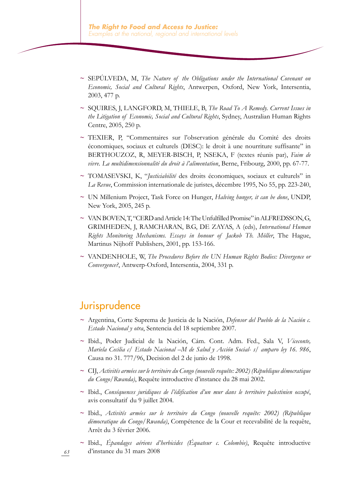- **~** SEPÚLVEDA, M, *The Nature of the Obligations under the International Covenant on Economic, Social and Cultural Rights*, Antwerpen, Oxford, New York, Intersentia, 2003, 477 p.
- **~** SQUIRES, J, LANGFORD, M, THIELE, B, *The Road To A Remedy. Current Issues in the Litigation of Economic, Social and Cultural Rights*, Sydney, Australian Human Rights Centre, 2005, 250 p.
- **~** TEXIER, P, "Commentaires sur l'observation générale du Comité des droits économiques, sociaux et culturels (DESC): le droit à une nourriture suffisante" in BERTHOUZOZ, R, MEYER-BISCH, P, NSEKA, F (textes réunis par), *Faim de vivre. La multidimensionnalité du droit à l'alimentation*, Berne, Fribourg, 2000, pp. 67-77.
- **~** TOMASEVSKI, K, "*Justiciabilité* des droits économiques, sociaux et culturels" in *La Revue*, Commission internationale de juristes, décembre 1995, No 55, pp. 223-240,
- **~** UN Millenium Project, Task Force on Hunger, *Halving hunger, it can be done*, UNDP, New York, 2005, 245 p.
- ~ VAN BOVEN, T, "CERD and Article 14: The Unfulfilled Promise" in ALFREDSSON, G, GRIMHEDEN, J, RAMCHARAN, B.G, DE ZAYAS, A (eds), *International Human Rights Monitoring Mechanisms. Essays in honour of Jackob Th. Möller*, The Hague, Martinus Nijhoff Publishers, 2001, pp. 153-166.
- **~** VANDENHOLE, W, *The Procedures Before the UN Human Rights Bodies: Divergence or Convergence?*, Antwerp-Oxford, Intersentia, 2004, 331 p.

### Jurisprudence

- **~** Argentina, Corte Suprema de Justicia de la Nación, *Defensor del Pueblo de la Nación c. Estado Nacional y otra*, Sentencia del 18 septiembre 2007.
- **~** Ibid., Poder Judicial de la Nación, Cám. Cont. Adm. Fed., Sala V, *Viceconte, Mariela Cecilia c/ Estado Nacional –M de Salud y Acción Social- s/ amparo ley 16. 986*, Causa no 31. 777/96, Decision del 2 de junio de 1998.
- **~** CIJ, *Activités armées sur le territoire du Congo (nouvelle requête: 2002) (République démocratique du Congo/Rwanda)*, Requête introductive d'instance du 28 mai 2002.
- **~** Ibid., *Conséquences juridiques de l'édification d'un mur dans le territoire palestinien occupé*, avis consultatif du 9 juillet 2004.
- **~** Ibid., *Activités armées sur le territoire du Congo (nouvelle requête: 2002) (République démocratique du Congo/Rwanda)*, Compétence de la Cour et recevabilité de la requête, Arrêt du 3 février 2006.
- **~** Ibid., *Épandages aériens d'herbicides (Équateur c. Colombie)*, Requête introductive d'instance du 31 mars 2008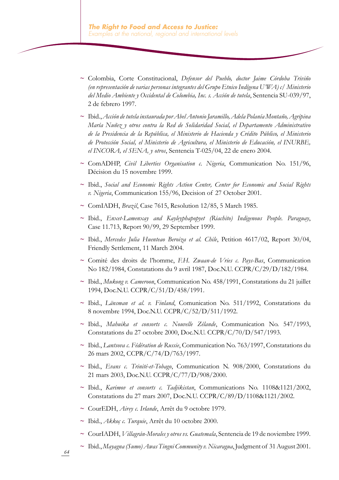- **~** Colombia, Corte Constitucional, *Defensor del Pueblo, doctor Jaime Córdoba Triviño (en representación de varias personas integrantes del Grupo Etnico Indígena U'WA) c/ Ministerio del Medio Ambiente y Occidental de Colombia, Inc. s. Acción de tutela*, Sentencia SU-039/97, 2 de febrero 1997.
- **~** Ibid., *Acción de tutela instaurada por Abel Antonio Jaramillo, Adela Polanía Montaño, Agripina María Nuñez y otros contra la Red de Solidaridad Social, el Departamento Administrativo de la Presidencia de la República, el Ministerio de Hacienda y Crédito Público, el Ministerio de Protección Social, el Ministerio de Agricultura, el Ministerio de Educación, el INURBE, el INCORA, el SENA, y otros*, Sentencia T-025/04, 22 de enero 2004.
- **~** ComADHP, *Civil Liberties Organisation c. Nigeria*, Communication No. 151/96, Décision du 15 novembre 1999.
- **~** Ibid., *Social and Economic Rights Action Center, Center for Economic and Social Rights v. Nigeria*, Communication 155/96, Decision of 27 October 2001.
- **~** ComIADH, *Brazil*, Case 7615, Resolution 12/85, 5 March 1985.
- **~** Ibid., *Enxet-Lamenxay and Kayleyphapopyet (Riachito) Indigenous People. Paraguay*, Case 11.713, Report 90/99, 29 September 1999.
- **~** Ibid., *Mercedes Julia Huenteao Beroiza et al. Chile*, Petition 4617/02, Report 30/04, Friendly Settlement, 11 March 2004.
- **~** Comité des droits de l'homme, *F.H. Zwaan-de Vries c. Pays-Bas*, Communication No 182/1984, Constatations du 9 avril 1987, Doc.N.U. CCPR/C/29/D/182/1984.
- **~** Ibid., *Mukong v. Cameroon*, Communication No. 458/1991, Constatations du 21 juillet 1994, Doc.N.U. CCPR/C/51/D/458/1991.
- **~** Ibid., *Länsman et al. v. Finland*, Comunication No. 511/1992, Constatations du 8 novembre 1994, Doc.N.U. CCPR/C/52/D/511/1992.
- **~** Ibid., *Mahuika et consorts c. Nouvelle Zélande*, Communication No. 547/1993, Constatations du 27 octobre 2000, Doc.N.U. CCPR/C/70/D/547/1993.
- **~** Ibid., *Lantsova c. Fédération de Russie*, Communication No. 763/1997, Constatations du 26 mars 2002, CCPR/C/74/D/763/1997.
- **~** Ibid., *Evans c. Trinité-et-Tobago*, Communication N. 908/2000, Constatations du 21 mars 2003, Doc.N.U. CCPR/C/77/D/908/2000.
- **~** Ibid., *Karimov et consorts c. Tadjikistan*, Communications No. 1108&1121/2002, Constatations du 27 mars 2007, Doc.N.U. CCPR/C/89/D/1108&1121/2002.
- **~** CourEDH, *Airey c. Irlande*, Arrêt du 9 octobre 1979.
- **~** Ibid., *Akkoç c. Turquie*, Arrêt du 10 octobre 2000.
- **~** CourIADH, *Villagrán-Morales y otros vs. Guatemala*, Sentencia de 19 de noviembre 1999.
- **~** Ibid., *Mayagna (Sumo) Awas Tingni Community v. Nicaragua*, Judgment of 31 August 2001.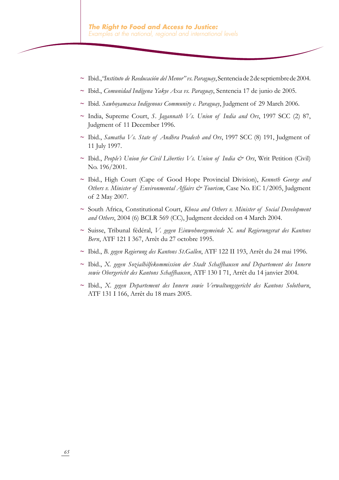- **~** Ibid., *"Instituto de Reeducación del Menor" vs. Paraguay*,Sentenciade2deseptiembrede2004.
- **~** Ibid., *Comunidad Indígena Yakye Axa vs. Paraguay*, Sentencia 17 de junio de 2005.
- **~** Ibid. *Sawhoyamaxa Indigenous Community c. Paraguay*, Judgment of 29 March 2006.
- **~** India, Supreme Court, *S. Jagannath Vs. Union of India and Ors*, 1997 SCC (2) 87, Judgment of 11 December 1996.
- **~** Ibid., *Samatha Vs. State of Andhra Pradesh and Ors*, 1997 SCC (8) 191, Judgment of 11 July 1997.
- **~** Ibid., *People's Union for Civil Liberties Vs. Union of India & Ors*, Writ Petition (Civil) No. 196/2001.
- **~** Ibid., High Court (Cape of Good Hope Provincial Division), *Kenneth George and Others v. Minister of Environmental Affairs & Tourism*, Case No. EC 1/2005, Judgment of 2 May 2007.
- **~** South Africa, Constitutional Court, *Khosa and Others v. Minister of Social Development and Others*, 2004 (6) BCLR 569 (CC), Judgment decided on 4 March 2004.
- **~** Suisse, Tribunal fédéral, *V. gegen Einwohnergemeinde X. und Regierungsrat des Kantons Bern*, ATF 121 I 367, Arrêt du 27 octobre 1995.
- **~** Ibid., *B. gegen Regierung des Kantons St.Gallen*, ATF 122 II 193, Arrêt du 24 mai 1996.
- **~** Ibid., *X. gegen Sozialhilfekommission der Stadt Schaffhausen und Departement des Innern sowie Obergericht des Kantons Schaffhausen*, ATF 130 I 71, Arrêt du 14 janvier 2004.
- **~** Ibid., *X. gegen Departement des Innern sowie Verwaltungsgericht des Kantons Solothurn*, ATF 131 I 166, Arrêt du 18 mars 2005.